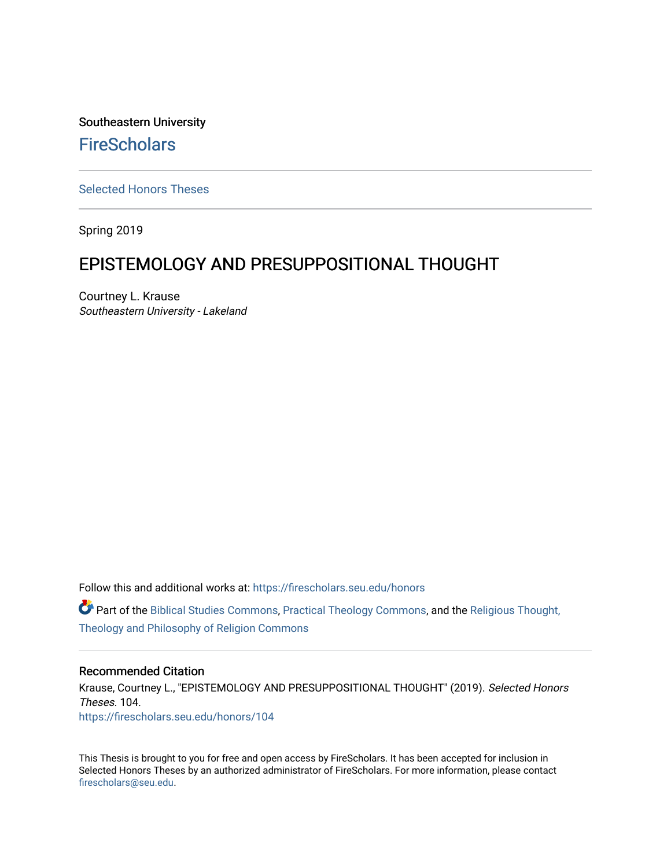Southeastern University **FireScholars** 

[Selected Honors Theses](https://firescholars.seu.edu/honors)

Spring 2019

# EPISTEMOLOGY AND PRESUPPOSITIONAL THOUGHT

Courtney L. Krause Southeastern University - Lakeland

Follow this and additional works at: [https://firescholars.seu.edu/honors](https://firescholars.seu.edu/honors?utm_source=firescholars.seu.edu%2Fhonors%2F104&utm_medium=PDF&utm_campaign=PDFCoverPages)

Part of the [Biblical Studies Commons,](http://network.bepress.com/hgg/discipline/539?utm_source=firescholars.seu.edu%2Fhonors%2F104&utm_medium=PDF&utm_campaign=PDFCoverPages) [Practical Theology Commons](http://network.bepress.com/hgg/discipline/1186?utm_source=firescholars.seu.edu%2Fhonors%2F104&utm_medium=PDF&utm_campaign=PDFCoverPages), and the [Religious Thought,](http://network.bepress.com/hgg/discipline/544?utm_source=firescholars.seu.edu%2Fhonors%2F104&utm_medium=PDF&utm_campaign=PDFCoverPages) [Theology and Philosophy of Religion Commons](http://network.bepress.com/hgg/discipline/544?utm_source=firescholars.seu.edu%2Fhonors%2F104&utm_medium=PDF&utm_campaign=PDFCoverPages) 

#### Recommended Citation

Krause, Courtney L., "EPISTEMOLOGY AND PRESUPPOSITIONAL THOUGHT" (2019). Selected Honors Theses. 104. [https://firescholars.seu.edu/honors/104](https://firescholars.seu.edu/honors/104?utm_source=firescholars.seu.edu%2Fhonors%2F104&utm_medium=PDF&utm_campaign=PDFCoverPages)

This Thesis is brought to you for free and open access by FireScholars. It has been accepted for inclusion in Selected Honors Theses by an authorized administrator of FireScholars. For more information, please contact [firescholars@seu.edu.](mailto:firescholars@seu.edu)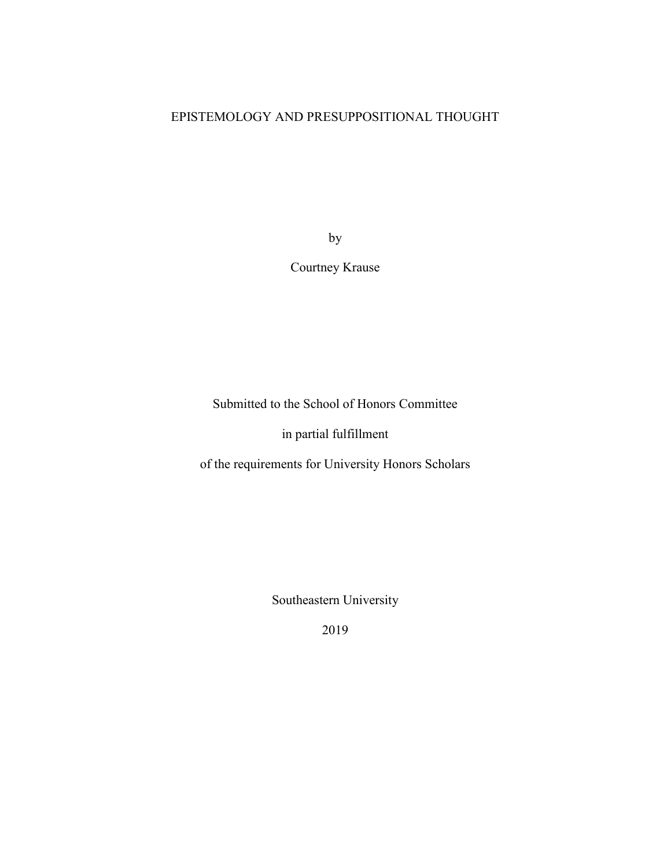# EPISTEMOLOGY AND PRESUPPOSITIONAL THOUGHT

by

# Courtney Krause

Submitted to the School of Honors Committee

in partial fulfillment

of the requirements for University Honors Scholars

Southeastern University

2019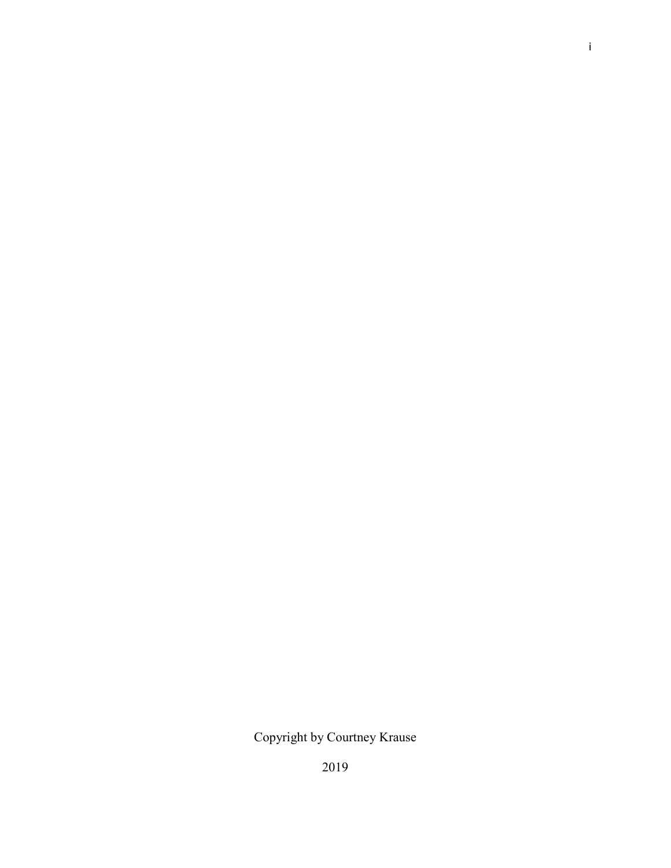# Copyright by Courtney Krause

2019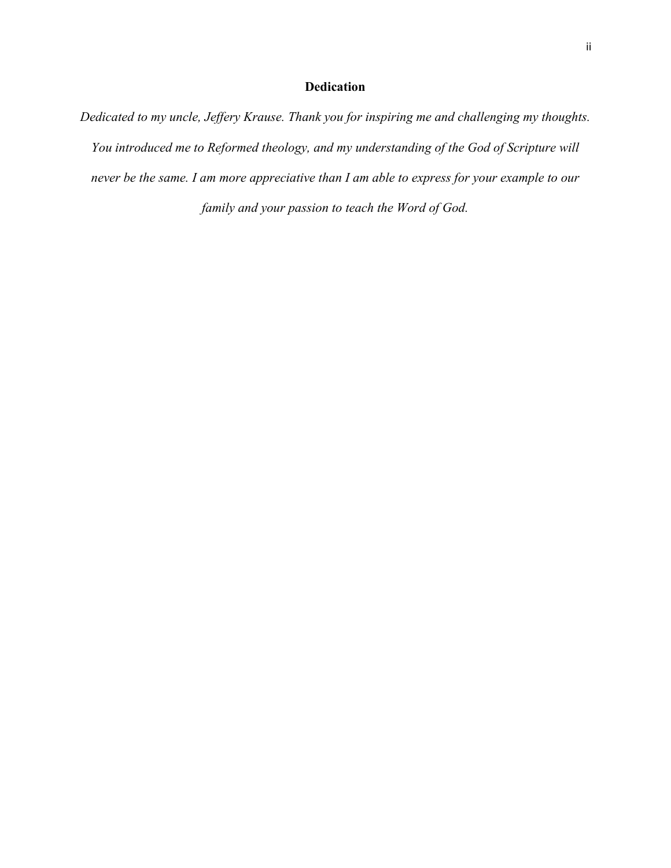# **Dedication**

*Dedicated to my uncle, Jeffery Krause. Thank you for inspiring me and challenging my thoughts. You introduced me to Reformed theology, and my understanding of the God of Scripture will never be the same. I am more appreciative than I am able to express for your example to our family and your passion to teach the Word of God.*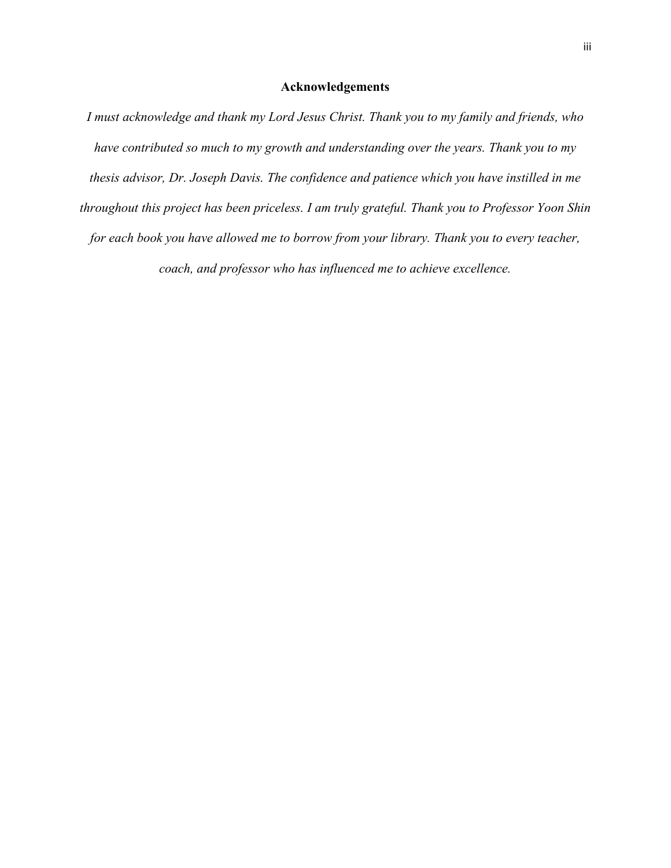# **Acknowledgements**

*I must acknowledge and thank my Lord Jesus Christ. Thank you to my family and friends, who have contributed so much to my growth and understanding over the years. Thank you to my thesis advisor, Dr. Joseph Davis. The confidence and patience which you have instilled in me throughout this project has been priceless. I am truly grateful. Thank you to Professor Yoon Shin for each book you have allowed me to borrow from your library. Thank you to every teacher, coach, and professor who has influenced me to achieve excellence.*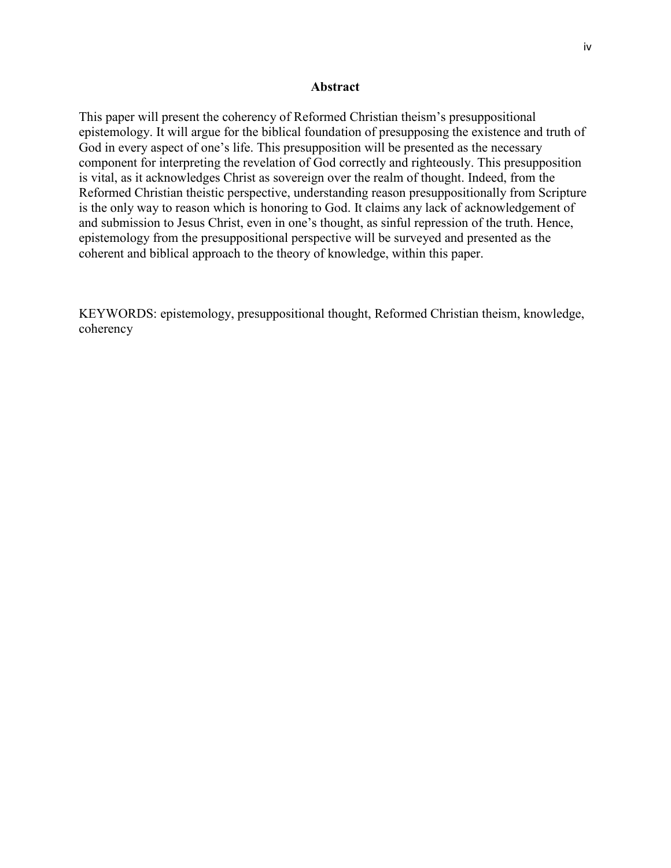## **Abstract**

This paper will present the coherency of Reformed Christian theism's presuppositional epistemology. It will argue for the biblical foundation of presupposing the existence and truth of God in every aspect of one's life. This presupposition will be presented as the necessary component for interpreting the revelation of God correctly and righteously. This presupposition is vital, as it acknowledges Christ as sovereign over the realm of thought. Indeed, from the Reformed Christian theistic perspective, understanding reason presuppositionally from Scripture is the only way to reason which is honoring to God. It claims any lack of acknowledgement of and submission to Jesus Christ, even in one's thought, as sinful repression of the truth. Hence, epistemology from the presuppositional perspective will be surveyed and presented as the coherent and biblical approach to the theory of knowledge, within this paper.

KEYWORDS: epistemology, presuppositional thought, Reformed Christian theism, knowledge, coherency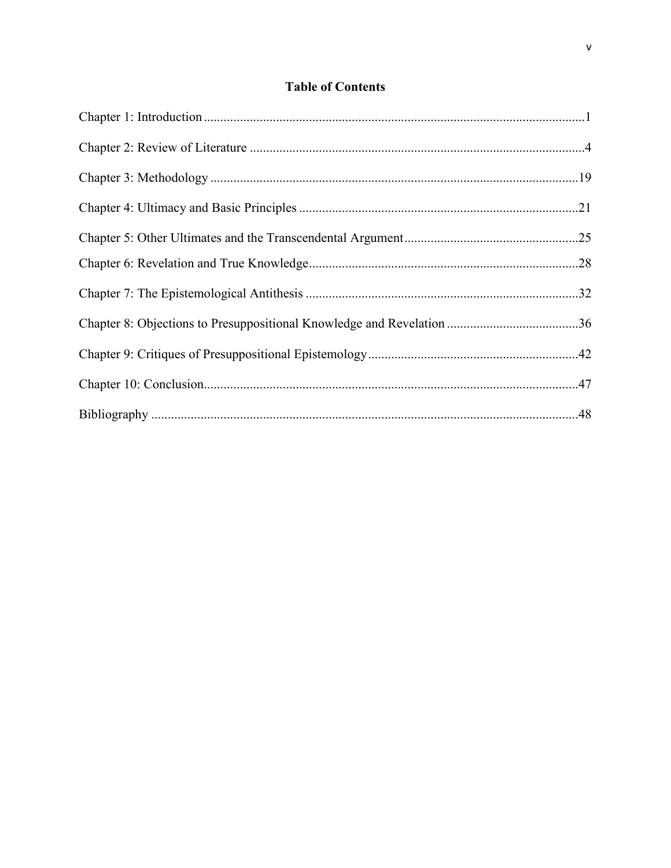# **Table of Contents**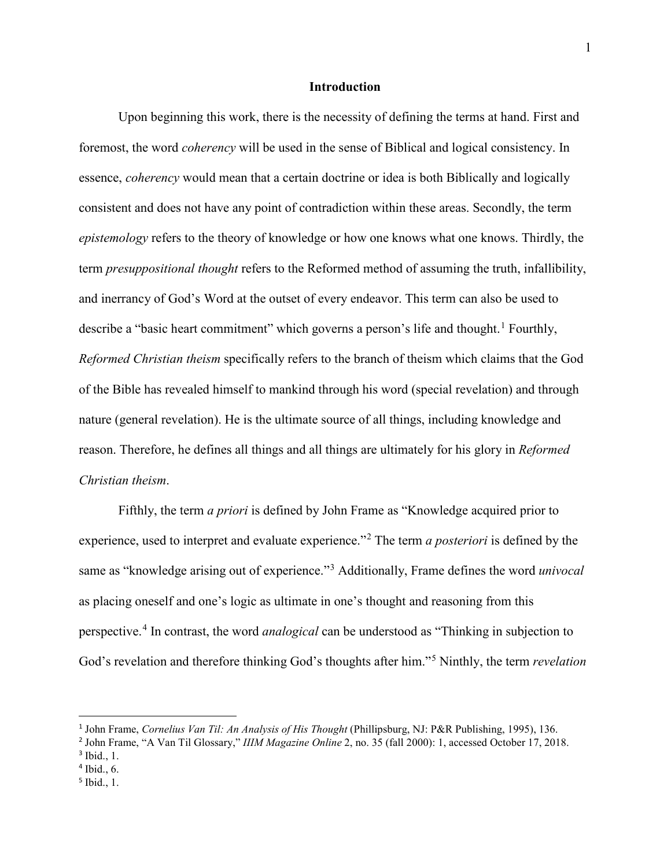#### **Introduction**

Upon beginning this work, there is the necessity of defining the terms at hand. First and foremost, the word *coherency* will be used in the sense of Biblical and logical consistency. In essence, *coherency* would mean that a certain doctrine or idea is both Biblically and logically consistent and does not have any point of contradiction within these areas. Secondly, the term *epistemology* refers to the theory of knowledge or how one knows what one knows. Thirdly, the term *presuppositional thought* refers to the Reformed method of assuming the truth, infallibility, and inerrancy of God's Word at the outset of every endeavor. This term can also be used to describe a "basic heart commitment" which governs a person's life and thought.<sup>[1](#page-7-0)</sup> Fourthly, *Reformed Christian theism* specifically refers to the branch of theism which claims that the God of the Bible has revealed himself to mankind through his word (special revelation) and through nature (general revelation). He is the ultimate source of all things, including knowledge and reason. Therefore, he defines all things and all things are ultimately for his glory in *Reformed Christian theism*.

Fifthly, the term *a priori* is defined by John Frame as "Knowledge acquired prior to experience, used to interpret and evaluate experience."[2](#page-7-1) The term *a posteriori* is defined by the same as "knowledge arising out of experience."[3](#page-7-2) Additionally, Frame defines the word *univocal* as placing oneself and one's logic as ultimate in one's thought and reasoning from this perspective.[4](#page-7-3) In contrast, the word *analogical* can be understood as "Thinking in subjection to God's revelation and therefore thinking God's thoughts after him."[5](#page-7-4) Ninthly, the term *revelation*

<span id="page-7-0"></span> <sup>1</sup> John Frame, *Cornelius Van Til: An Analysis of His Thought* (Phillipsburg, NJ: P&R Publishing, 1995), 136.

<span id="page-7-2"></span><span id="page-7-1"></span><sup>2</sup> John Frame, "A Van Til Glossary," *IIIM Magazine Online* 2, no. 35 (fall 2000): 1, accessed October 17, 2018.

<sup>3</sup> Ibid., 1.

<span id="page-7-3"></span><sup>4</sup> Ibid., 6.

<span id="page-7-4"></span><sup>5</sup> Ibid., 1.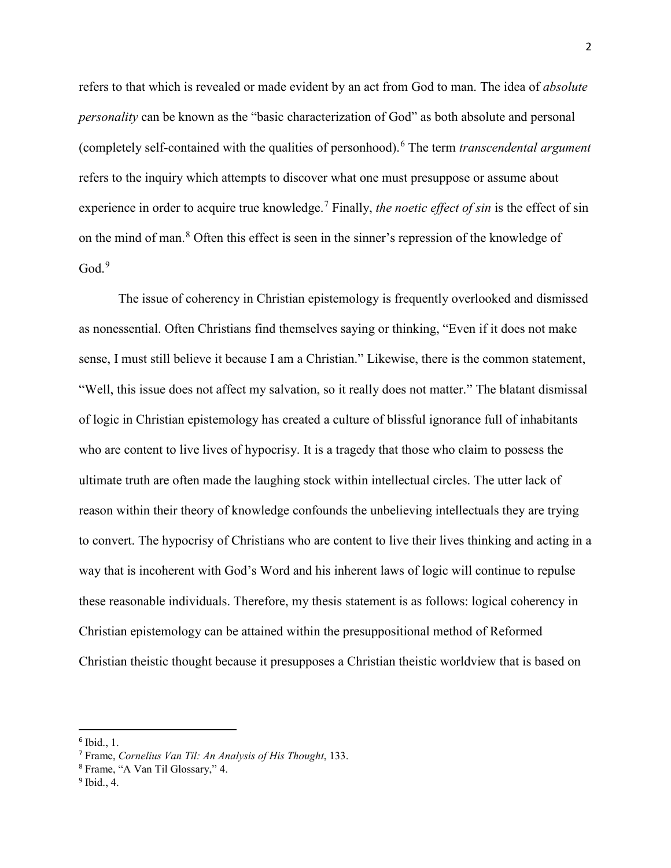refers to that which is revealed or made evident by an act from God to man. The idea of *absolute personality* can be known as the "basic characterization of God" as both absolute and personal (completely self-contained with the qualities of personhood).[6](#page-8-0) The term *transcendental argument* refers to the inquiry which attempts to discover what one must presuppose or assume about experience in order to acquire true knowledge.<sup>[7](#page-8-1)</sup> Finally, *the noetic effect of sin* is the effect of sin on the mind of man.[8](#page-8-2) Often this effect is seen in the sinner's repression of the knowledge of  $Good.<sup>9</sup>$  $Good.<sup>9</sup>$  $Good.<sup>9</sup>$ 

The issue of coherency in Christian epistemology is frequently overlooked and dismissed as nonessential. Often Christians find themselves saying or thinking, "Even if it does not make sense, I must still believe it because I am a Christian." Likewise, there is the common statement, "Well, this issue does not affect my salvation, so it really does not matter." The blatant dismissal of logic in Christian epistemology has created a culture of blissful ignorance full of inhabitants who are content to live lives of hypocrisy. It is a tragedy that those who claim to possess the ultimate truth are often made the laughing stock within intellectual circles. The utter lack of reason within their theory of knowledge confounds the unbelieving intellectuals they are trying to convert. The hypocrisy of Christians who are content to live their lives thinking and acting in a way that is incoherent with God's Word and his inherent laws of logic will continue to repulse these reasonable individuals. Therefore, my thesis statement is as follows: logical coherency in Christian epistemology can be attained within the presuppositional method of Reformed Christian theistic thought because it presupposes a Christian theistic worldview that is based on

<span id="page-8-0"></span> <sup>6</sup> Ibid., 1.

<span id="page-8-1"></span><sup>7</sup> Frame, *Cornelius Van Til: An Analysis of His Thought*, 133.

<span id="page-8-2"></span><sup>8</sup> Frame, "A Van Til Glossary," 4.

<span id="page-8-3"></span> $9$  Ibid., 4.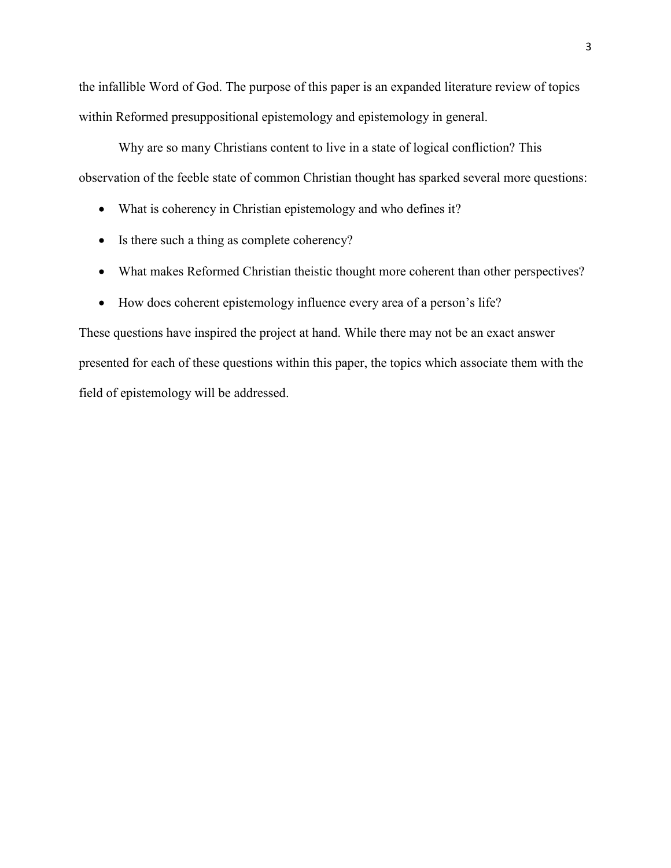the infallible Word of God. The purpose of this paper is an expanded literature review of topics within Reformed presuppositional epistemology and epistemology in general.

Why are so many Christians content to live in a state of logical confliction? This observation of the feeble state of common Christian thought has sparked several more questions:

- What is coherency in Christian epistemology and who defines it?
- Is there such a thing as complete coherency?
- What makes Reformed Christian theistic thought more coherent than other perspectives?
- How does coherent epistemology influence every area of a person's life?

These questions have inspired the project at hand. While there may not be an exact answer presented for each of these questions within this paper, the topics which associate them with the field of epistemology will be addressed.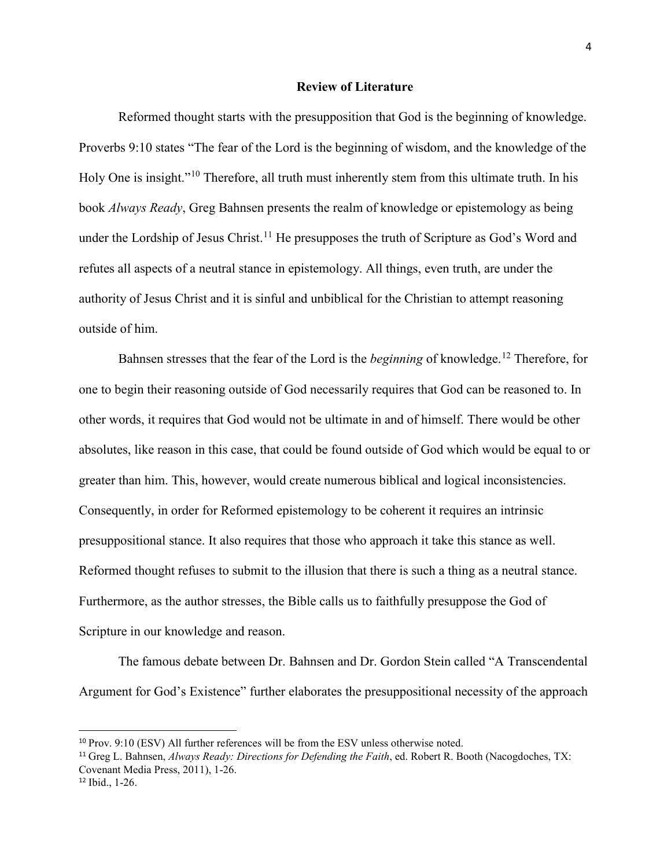#### **Review of Literature**

Reformed thought starts with the presupposition that God is the beginning of knowledge. Proverbs 9:10 states "The fear of the Lord is the beginning of wisdom, and the knowledge of the Holy One is insight."<sup>[10](#page-10-0)</sup> Therefore, all truth must inherently stem from this ultimate truth. In his book *Always Ready*, Greg Bahnsen presents the realm of knowledge or epistemology as being under the Lordship of Jesus Christ.<sup>[11](#page-10-1)</sup> He presupposes the truth of Scripture as God's Word and refutes all aspects of a neutral stance in epistemology. All things, even truth, are under the authority of Jesus Christ and it is sinful and unbiblical for the Christian to attempt reasoning outside of him.

Bahnsen stresses that the fear of the Lord is the *beginning* of knowledge.<sup>[12](#page-10-2)</sup> Therefore, for one to begin their reasoning outside of God necessarily requires that God can be reasoned to. In other words, it requires that God would not be ultimate in and of himself. There would be other absolutes, like reason in this case, that could be found outside of God which would be equal to or greater than him. This, however, would create numerous biblical and logical inconsistencies. Consequently, in order for Reformed epistemology to be coherent it requires an intrinsic presuppositional stance. It also requires that those who approach it take this stance as well. Reformed thought refuses to submit to the illusion that there is such a thing as a neutral stance. Furthermore, as the author stresses, the Bible calls us to faithfully presuppose the God of Scripture in our knowledge and reason.

The famous debate between Dr. Bahnsen and Dr. Gordon Stein called "A Transcendental Argument for God's Existence" further elaborates the presuppositional necessity of the approach

<span id="page-10-0"></span><sup>&</sup>lt;sup>10</sup> Prov. 9:10 (ESV) All further references will be from the ESV unless otherwise noted.

<span id="page-10-1"></span><sup>11</sup> Greg L. Bahnsen, *Always Ready: Directions for Defending the Faith*, ed. Robert R. Booth (Nacogdoches, TX: Covenant Media Press, 2011), 1-26.

<span id="page-10-2"></span><sup>12</sup> Ibid., 1-26.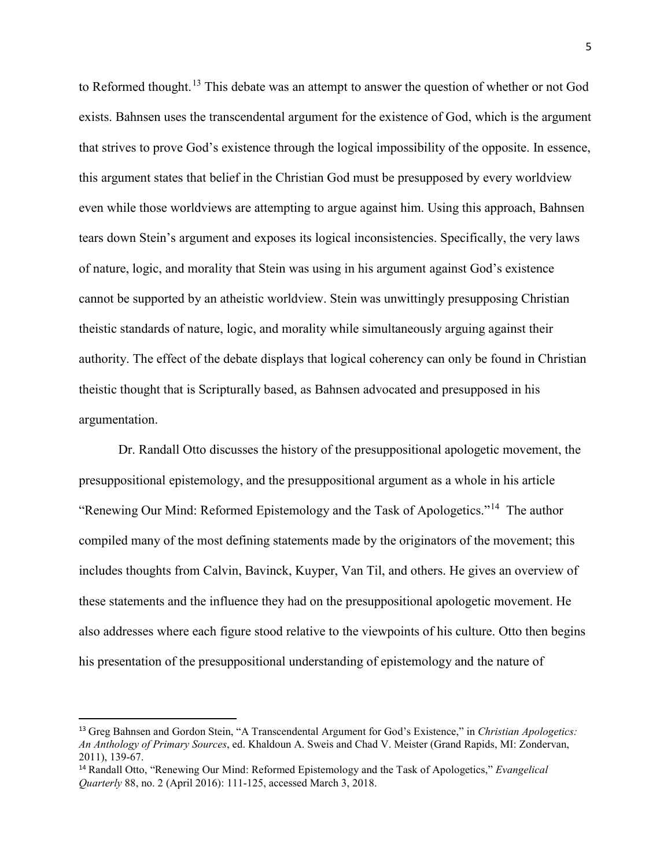to Reformed thought.<sup>[13](#page-11-0)</sup> This debate was an attempt to answer the question of whether or not God exists. Bahnsen uses the transcendental argument for the existence of God, which is the argument that strives to prove God's existence through the logical impossibility of the opposite. In essence, this argument states that belief in the Christian God must be presupposed by every worldview even while those worldviews are attempting to argue against him. Using this approach, Bahnsen tears down Stein's argument and exposes its logical inconsistencies. Specifically, the very laws of nature, logic, and morality that Stein was using in his argument against God's existence cannot be supported by an atheistic worldview. Stein was unwittingly presupposing Christian theistic standards of nature, logic, and morality while simultaneously arguing against their authority. The effect of the debate displays that logical coherency can only be found in Christian theistic thought that is Scripturally based, as Bahnsen advocated and presupposed in his argumentation.

Dr. Randall Otto discusses the history of the presuppositional apologetic movement, the presuppositional epistemology, and the presuppositional argument as a whole in his article "Renewing Our Mind: Reformed Epistemology and the Task of Apologetics."[14](#page-11-1) The author compiled many of the most defining statements made by the originators of the movement; this includes thoughts from Calvin, Bavinck, Kuyper, Van Til, and others. He gives an overview of these statements and the influence they had on the presuppositional apologetic movement. He also addresses where each figure stood relative to the viewpoints of his culture. Otto then begins his presentation of the presuppositional understanding of epistemology and the nature of

<span id="page-11-0"></span> <sup>13</sup> Greg Bahnsen and Gordon Stein, "A Transcendental Argument for God's Existence," in *Christian Apologetics: An Anthology of Primary Sources*, ed. Khaldoun A. Sweis and Chad V. Meister (Grand Rapids, MI: Zondervan, 2011), 139-67.

<span id="page-11-1"></span><sup>14</sup> Randall Otto, "Renewing Our Mind: Reformed Epistemology and the Task of Apologetics," *Evangelical Quarterly* 88, no. 2 (April 2016): 111-125, accessed March 3, 2018.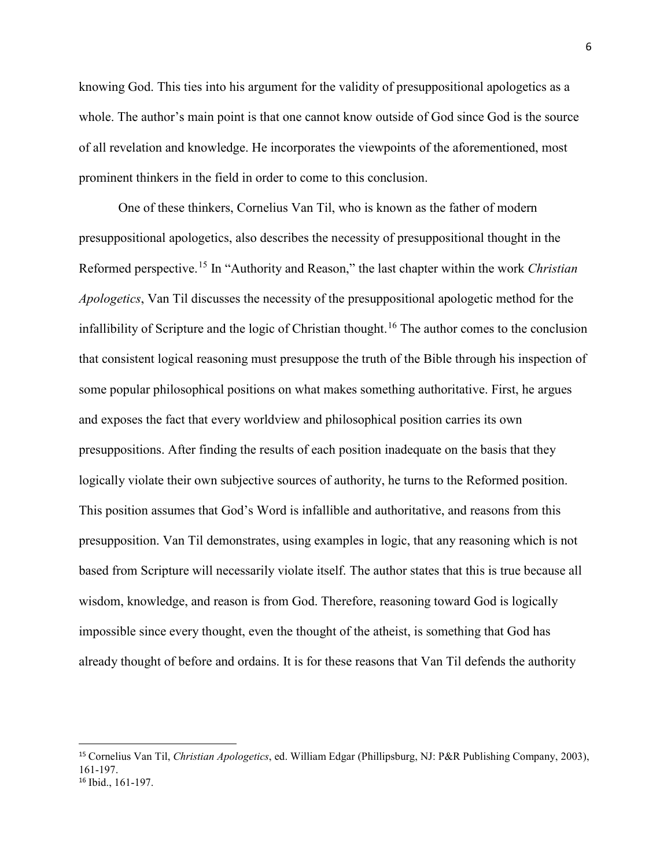knowing God. This ties into his argument for the validity of presuppositional apologetics as a whole. The author's main point is that one cannot know outside of God since God is the source of all revelation and knowledge. He incorporates the viewpoints of the aforementioned, most prominent thinkers in the field in order to come to this conclusion.

One of these thinkers, Cornelius Van Til, who is known as the father of modern presuppositional apologetics, also describes the necessity of presuppositional thought in the Reformed perspective.[15](#page-12-0) In "Authority and Reason," the last chapter within the work *Christian Apologetics*, Van Til discusses the necessity of the presuppositional apologetic method for the infallibility of Scripture and the logic of Christian thought.<sup>[16](#page-12-1)</sup> The author comes to the conclusion that consistent logical reasoning must presuppose the truth of the Bible through his inspection of some popular philosophical positions on what makes something authoritative. First, he argues and exposes the fact that every worldview and philosophical position carries its own presuppositions. After finding the results of each position inadequate on the basis that they logically violate their own subjective sources of authority, he turns to the Reformed position. This position assumes that God's Word is infallible and authoritative, and reasons from this presupposition. Van Til demonstrates, using examples in logic, that any reasoning which is not based from Scripture will necessarily violate itself. The author states that this is true because all wisdom, knowledge, and reason is from God. Therefore, reasoning toward God is logically impossible since every thought, even the thought of the atheist, is something that God has already thought of before and ordains. It is for these reasons that Van Til defends the authority

<span id="page-12-1"></span><span id="page-12-0"></span> <sup>15</sup> Cornelius Van Til, *Christian Apologetics*, ed. William Edgar (Phillipsburg, NJ: P&R Publishing Company, 2003), 161-197. <sup>16</sup> Ibid., 161-197.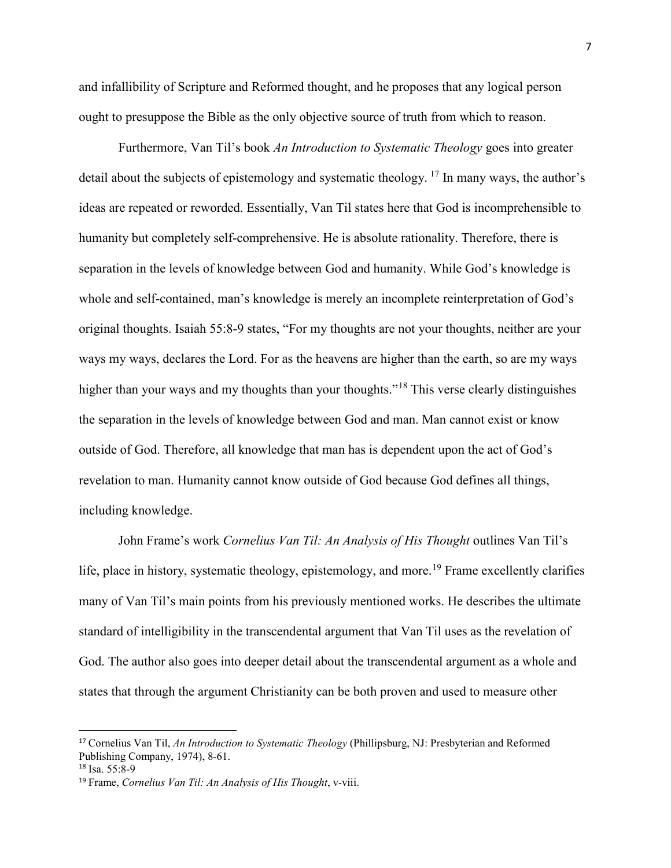and infallibility of Scripture and Reformed thought, and he proposes that any logical person ought to presuppose the Bible as the only objective source of truth from which to reason.

Furthermore, Van Til's book *An Introduction to Systematic Theology* goes into greater detail about the subjects of epistemology and systematic theology.  $^{17}$  $^{17}$  $^{17}$  In many ways, the author's ideas are repeated or reworded. Essentially, Van Til states here that God is incomprehensible to humanity but completely self-comprehensive. He is absolute rationality. Therefore, there is separation in the levels of knowledge between God and humanity. While God's knowledge is whole and self-contained, man's knowledge is merely an incomplete reinterpretation of God's original thoughts. Isaiah 55:8-9 states, "For my thoughts are not your thoughts, neither are your ways my ways, declares the Lord. For as the heavens are higher than the earth, so are my ways higher than your ways and my thoughts than your thoughts."<sup>[18](#page-13-1)</sup> This verse clearly distinguishes the separation in the levels of knowledge between God and man. Man cannot exist or know outside of God. Therefore, all knowledge that man has is dependent upon the act of God's revelation to man. Humanity cannot know outside of God because God defines all things, including knowledge.

John Frame's work *Cornelius Van Til: An Analysis of His Thought* outlines Van Til's life, place in history, systematic theology, epistemology, and more.<sup>[19](#page-13-2)</sup> Frame excellently clarifies many of Van Til's main points from his previously mentioned works. He describes the ultimate standard of intelligibility in the transcendental argument that Van Til uses as the revelation of God. The author also goes into deeper detail about the transcendental argument as a whole and states that through the argument Christianity can be both proven and used to measure other

<span id="page-13-0"></span> <sup>17</sup> Cornelius Van Til, *An Introduction to Systematic Theology* (Phillipsburg, NJ: Presbyterian and Reformed Publishing Company, 1974), 8-61.

<span id="page-13-1"></span> $18$  Isa. 55:8-9

<span id="page-13-2"></span><sup>19</sup> Frame, *Cornelius Van Til: An Analysis of His Thought*, v-viii.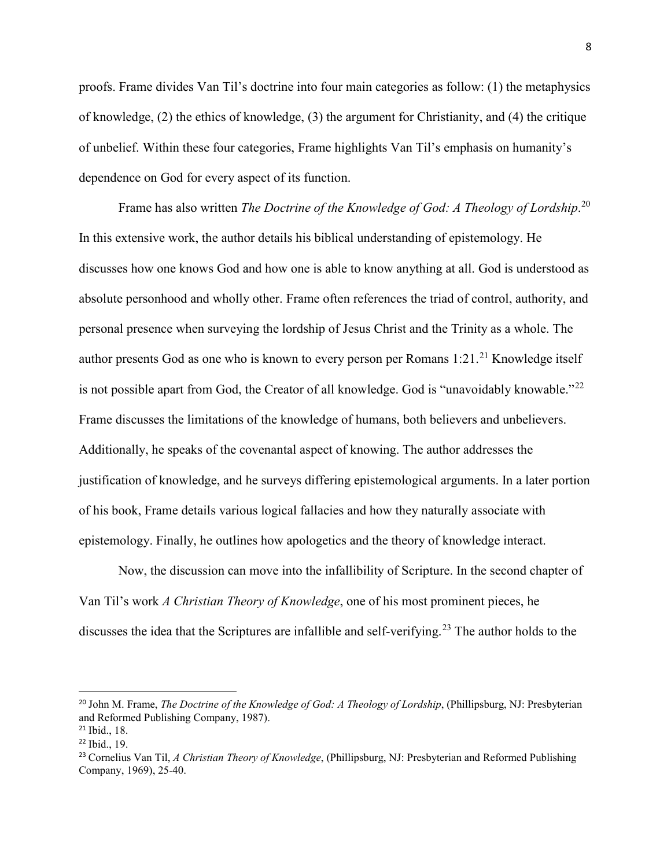proofs. Frame divides Van Til's doctrine into four main categories as follow: (1) the metaphysics of knowledge, (2) the ethics of knowledge, (3) the argument for Christianity, and (4) the critique of unbelief. Within these four categories, Frame highlights Van Til's emphasis on humanity's dependence on God for every aspect of its function.

Frame has also written *The Doctrine of the Knowledge of God: A Theology of Lordship*. [20](#page-14-0) In this extensive work, the author details his biblical understanding of epistemology. He discusses how one knows God and how one is able to know anything at all. God is understood as absolute personhood and wholly other. Frame often references the triad of control, authority, and personal presence when surveying the lordship of Jesus Christ and the Trinity as a whole. The author presents God as one who is known to every person per Romans  $1:21$  $1:21$ <sup>21</sup> Knowledge itself is not possible apart from God, the Creator of all knowledge. God is "unavoidably knowable."<sup>[22](#page-14-2)</sup> Frame discusses the limitations of the knowledge of humans, both believers and unbelievers. Additionally, he speaks of the covenantal aspect of knowing. The author addresses the justification of knowledge, and he surveys differing epistemological arguments. In a later portion of his book, Frame details various logical fallacies and how they naturally associate with epistemology. Finally, he outlines how apologetics and the theory of knowledge interact.

Now, the discussion can move into the infallibility of Scripture. In the second chapter of Van Til's work *A Christian Theory of Knowledge*, one of his most prominent pieces, he discusses the idea that the Scriptures are infallible and self-verifying.<sup>[23](#page-14-3)</sup> The author holds to the

<span id="page-14-0"></span> <sup>20</sup> John M. Frame, *The Doctrine of the Knowledge of God: A Theology of Lordship*, (Phillipsburg, NJ: Presbyterian and Reformed Publishing Company, 1987).

<span id="page-14-1"></span><sup>21</sup> Ibid., 18. <sup>22</sup> Ibid., 19.

<span id="page-14-2"></span>

<span id="page-14-3"></span><sup>23</sup> Cornelius Van Til, *A Christian Theory of Knowledge*, (Phillipsburg, NJ: Presbyterian and Reformed Publishing Company, 1969), 25-40.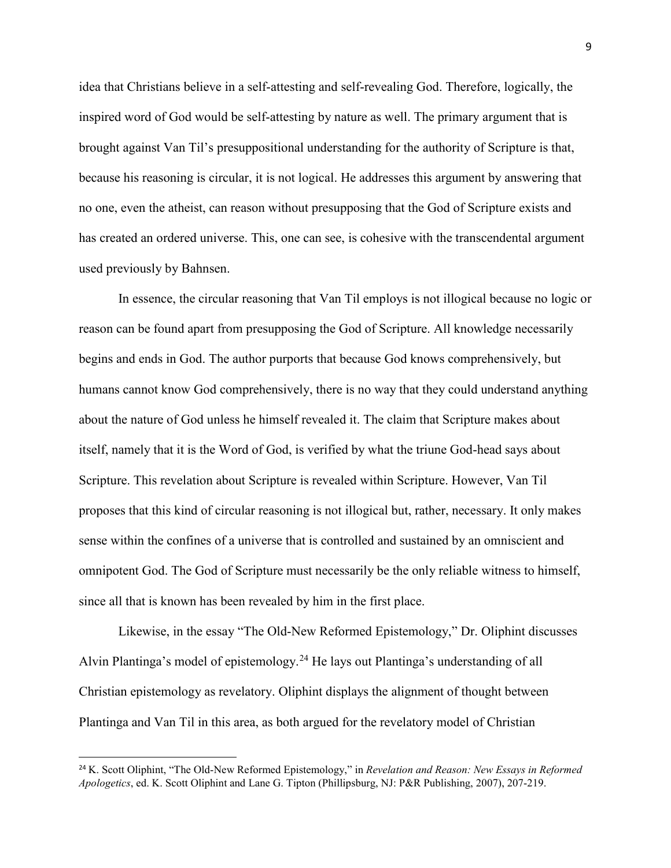idea that Christians believe in a self-attesting and self-revealing God. Therefore, logically, the inspired word of God would be self-attesting by nature as well. The primary argument that is brought against Van Til's presuppositional understanding for the authority of Scripture is that, because his reasoning is circular, it is not logical. He addresses this argument by answering that no one, even the atheist, can reason without presupposing that the God of Scripture exists and has created an ordered universe. This, one can see, is cohesive with the transcendental argument used previously by Bahnsen.

In essence, the circular reasoning that Van Til employs is not illogical because no logic or reason can be found apart from presupposing the God of Scripture. All knowledge necessarily begins and ends in God. The author purports that because God knows comprehensively, but humans cannot know God comprehensively, there is no way that they could understand anything about the nature of God unless he himself revealed it. The claim that Scripture makes about itself, namely that it is the Word of God, is verified by what the triune God-head says about Scripture. This revelation about Scripture is revealed within Scripture. However, Van Til proposes that this kind of circular reasoning is not illogical but, rather, necessary. It only makes sense within the confines of a universe that is controlled and sustained by an omniscient and omnipotent God. The God of Scripture must necessarily be the only reliable witness to himself, since all that is known has been revealed by him in the first place.

Likewise, in the essay "The Old-New Reformed Epistemology," Dr. Oliphint discusses Alvin Plantinga's model of epistemology.<sup>[24](#page-15-0)</sup> He lays out Plantinga's understanding of all Christian epistemology as revelatory. Oliphint displays the alignment of thought between Plantinga and Van Til in this area, as both argued for the revelatory model of Christian

<span id="page-15-0"></span> <sup>24</sup> K. Scott Oliphint, "The Old-New Reformed Epistemology," in *Revelation and Reason: New Essays in Reformed Apologetics*, ed. K. Scott Oliphint and Lane G. Tipton (Phillipsburg, NJ: P&R Publishing, 2007), 207-219.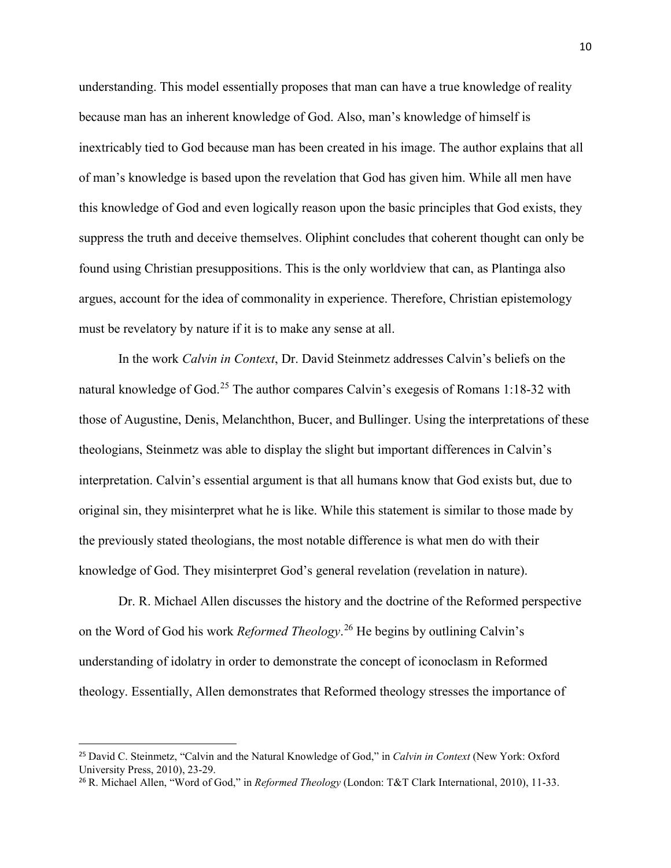understanding. This model essentially proposes that man can have a true knowledge of reality because man has an inherent knowledge of God. Also, man's knowledge of himself is inextricably tied to God because man has been created in his image. The author explains that all of man's knowledge is based upon the revelation that God has given him. While all men have this knowledge of God and even logically reason upon the basic principles that God exists, they suppress the truth and deceive themselves. Oliphint concludes that coherent thought can only be found using Christian presuppositions. This is the only worldview that can, as Plantinga also argues, account for the idea of commonality in experience. Therefore, Christian epistemology must be revelatory by nature if it is to make any sense at all.

In the work *Calvin in Context*, Dr. David Steinmetz addresses Calvin's beliefs on the natural knowledge of God.<sup>[25](#page-16-0)</sup> The author compares Calvin's exegesis of Romans 1:18-32 with those of Augustine, Denis, Melanchthon, Bucer, and Bullinger. Using the interpretations of these theologians, Steinmetz was able to display the slight but important differences in Calvin's interpretation. Calvin's essential argument is that all humans know that God exists but, due to original sin, they misinterpret what he is like. While this statement is similar to those made by the previously stated theologians, the most notable difference is what men do with their knowledge of God. They misinterpret God's general revelation (revelation in nature).

Dr. R. Michael Allen discusses the history and the doctrine of the Reformed perspective on the Word of God his work *Reformed Theology*. [26](#page-16-1) He begins by outlining Calvin's understanding of idolatry in order to demonstrate the concept of iconoclasm in Reformed theology. Essentially, Allen demonstrates that Reformed theology stresses the importance of

<span id="page-16-0"></span> <sup>25</sup> David C. Steinmetz, "Calvin and the Natural Knowledge of God," in *Calvin in Context* (New York: Oxford University Press, 2010), 23-29.

<span id="page-16-1"></span><sup>26</sup> R. Michael Allen, "Word of God," in *Reformed Theology* (London: T&T Clark International, 2010), 11-33.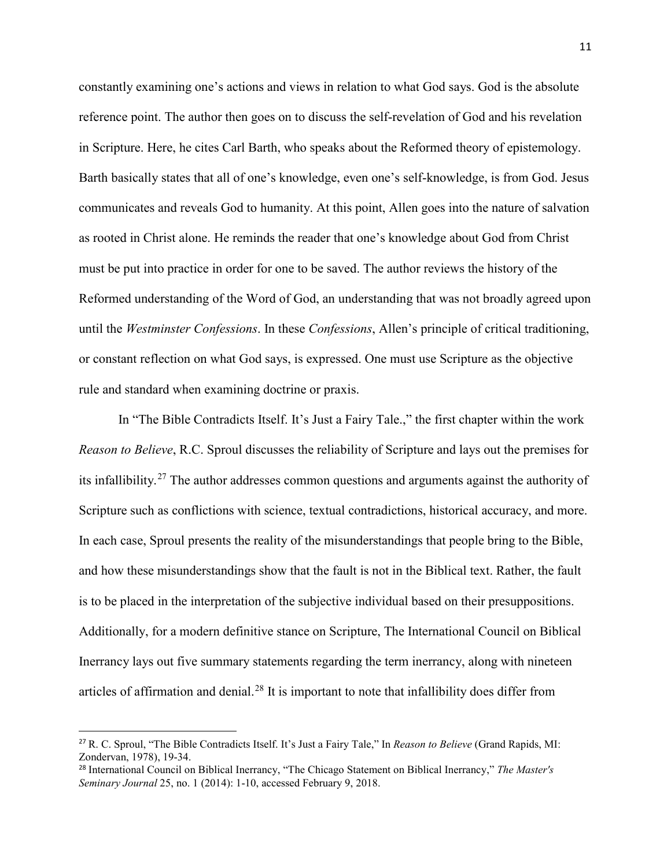constantly examining one's actions and views in relation to what God says. God is the absolute reference point. The author then goes on to discuss the self-revelation of God and his revelation in Scripture. Here, he cites Carl Barth, who speaks about the Reformed theory of epistemology. Barth basically states that all of one's knowledge, even one's self-knowledge, is from God. Jesus communicates and reveals God to humanity. At this point, Allen goes into the nature of salvation as rooted in Christ alone. He reminds the reader that one's knowledge about God from Christ must be put into practice in order for one to be saved. The author reviews the history of the Reformed understanding of the Word of God, an understanding that was not broadly agreed upon until the *Westminster Confessions*. In these *Confessions*, Allen's principle of critical traditioning, or constant reflection on what God says, is expressed. One must use Scripture as the objective rule and standard when examining doctrine or praxis.

In "The Bible Contradicts Itself. It's Just a Fairy Tale.," the first chapter within the work *Reason to Believe*, R.C. Sproul discusses the reliability of Scripture and lays out the premises for its infallibility.[27](#page-17-0) The author addresses common questions and arguments against the authority of Scripture such as conflictions with science, textual contradictions, historical accuracy, and more. In each case, Sproul presents the reality of the misunderstandings that people bring to the Bible, and how these misunderstandings show that the fault is not in the Biblical text. Rather, the fault is to be placed in the interpretation of the subjective individual based on their presuppositions. Additionally, for a modern definitive stance on Scripture, The International Council on Biblical Inerrancy lays out five summary statements regarding the term inerrancy, along with nineteen articles of affirmation and denial.<sup>[28](#page-17-1)</sup> It is important to note that infallibility does differ from

<span id="page-17-0"></span> <sup>27</sup> R. C. Sproul, "The Bible Contradicts Itself. It's Just a Fairy Tale," In *Reason to Believe* (Grand Rapids, MI: Zondervan, 1978), 19-34.

<span id="page-17-1"></span><sup>28</sup> International Council on Biblical Inerrancy, "The Chicago Statement on Biblical Inerrancy," *The Master's Seminary Journal* 25, no. 1 (2014): 1-10, accessed February 9, 2018.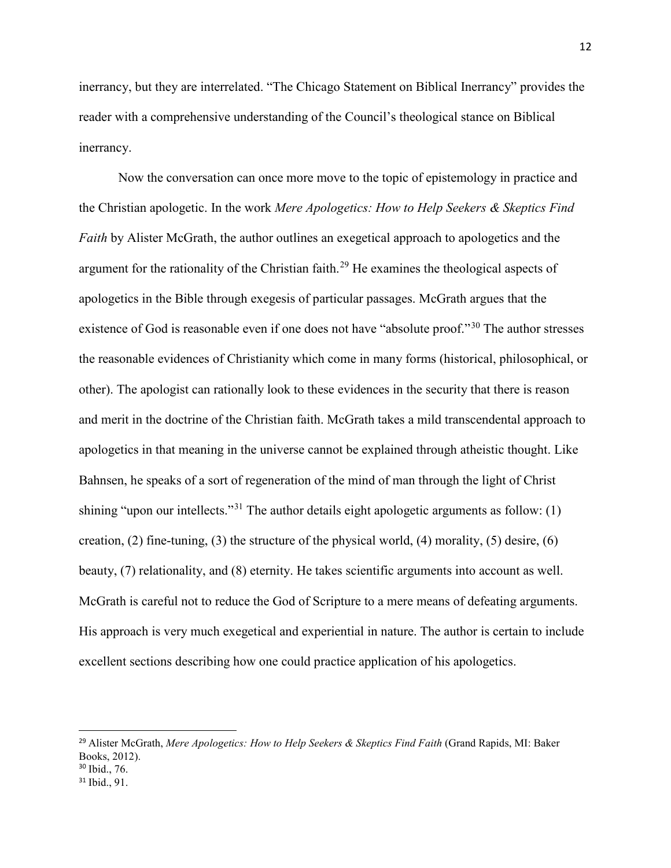inerrancy, but they are interrelated. "The Chicago Statement on Biblical Inerrancy" provides the reader with a comprehensive understanding of the Council's theological stance on Biblical inerrancy.

Now the conversation can once more move to the topic of epistemology in practice and the Christian apologetic. In the work *Mere Apologetics: How to Help Seekers & Skeptics Find Faith* by Alister McGrath, the author outlines an exegetical approach to apologetics and the argument for the rationality of the Christian faith.<sup>[29](#page-18-0)</sup> He examines the theological aspects of apologetics in the Bible through exegesis of particular passages. McGrath argues that the existence of God is reasonable even if one does not have "absolute proof."<sup>[30](#page-18-1)</sup> The author stresses the reasonable evidences of Christianity which come in many forms (historical, philosophical, or other). The apologist can rationally look to these evidences in the security that there is reason and merit in the doctrine of the Christian faith. McGrath takes a mild transcendental approach to apologetics in that meaning in the universe cannot be explained through atheistic thought. Like Bahnsen, he speaks of a sort of regeneration of the mind of man through the light of Christ shining "upon our intellects."<sup>[31](#page-18-2)</sup> The author details eight apologetic arguments as follow: (1) creation,  $(2)$  fine-tuning,  $(3)$  the structure of the physical world,  $(4)$  morality,  $(5)$  desire,  $(6)$ beauty, (7) relationality, and (8) eternity. He takes scientific arguments into account as well. McGrath is careful not to reduce the God of Scripture to a mere means of defeating arguments. His approach is very much exegetical and experiential in nature. The author is certain to include excellent sections describing how one could practice application of his apologetics.

<span id="page-18-0"></span> <sup>29</sup> Alister McGrath, *Mere Apologetics: How to Help Seekers & Skeptics Find Faith* (Grand Rapids, MI: Baker Books, 2012).

<span id="page-18-1"></span><sup>30</sup> Ibid., 76.

<span id="page-18-2"></span><sup>31</sup> Ibid., 91.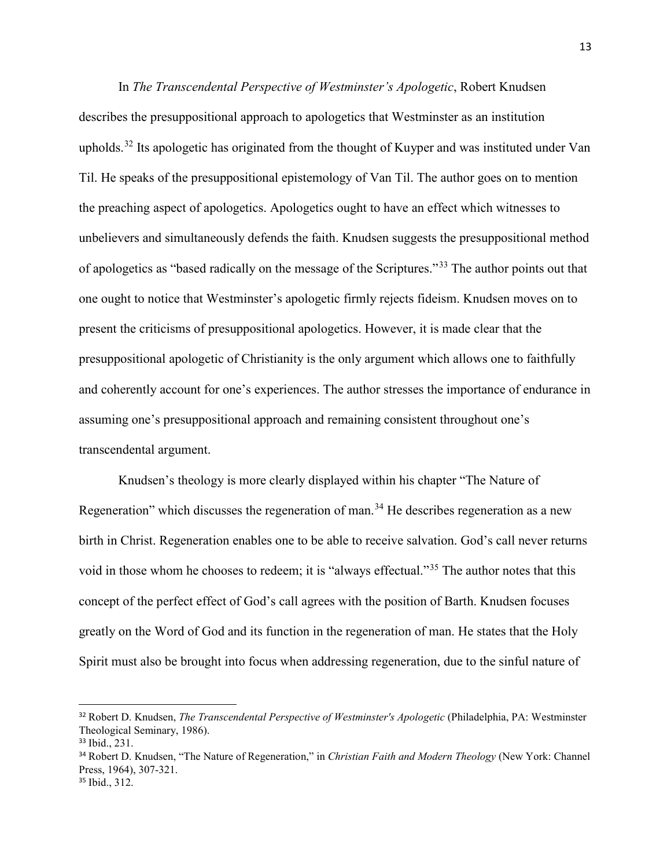In *The Transcendental Perspective of Westminster's Apologetic*, Robert Knudsen describes the presuppositional approach to apologetics that Westminster as an institution upholds.<sup>[32](#page-19-0)</sup> Its apologetic has originated from the thought of Kuyper and was instituted under Van Til. He speaks of the presuppositional epistemology of Van Til. The author goes on to mention the preaching aspect of apologetics. Apologetics ought to have an effect which witnesses to unbelievers and simultaneously defends the faith. Knudsen suggests the presuppositional method of apologetics as "based radically on the message of the Scriptures."[33](#page-19-1) The author points out that one ought to notice that Westminster's apologetic firmly rejects fideism. Knudsen moves on to present the criticisms of presuppositional apologetics. However, it is made clear that the presuppositional apologetic of Christianity is the only argument which allows one to faithfully and coherently account for one's experiences. The author stresses the importance of endurance in assuming one's presuppositional approach and remaining consistent throughout one's transcendental argument.

Knudsen's theology is more clearly displayed within his chapter "The Nature of Regeneration" which discusses the regeneration of man.<sup>[34](#page-19-2)</sup> He describes regeneration as a new birth in Christ. Regeneration enables one to be able to receive salvation. God's call never returns void in those whom he chooses to redeem; it is "always effectual."<sup>[35](#page-19-3)</sup> The author notes that this concept of the perfect effect of God's call agrees with the position of Barth. Knudsen focuses greatly on the Word of God and its function in the regeneration of man. He states that the Holy Spirit must also be brought into focus when addressing regeneration, due to the sinful nature of

<span id="page-19-0"></span> <sup>32</sup> Robert D. Knudsen, *The Transcendental Perspective of Westminster's Apologetic* (Philadelphia, PA: Westminster Theological Seminary, 1986).

<span id="page-19-1"></span><sup>33</sup> Ibid., 231.

<span id="page-19-2"></span><sup>34</sup> Robert D. Knudsen, "The Nature of Regeneration," in *Christian Faith and Modern Theology* (New York: Channel Press, 1964), 307-321.

<span id="page-19-3"></span><sup>35</sup> Ibid., 312.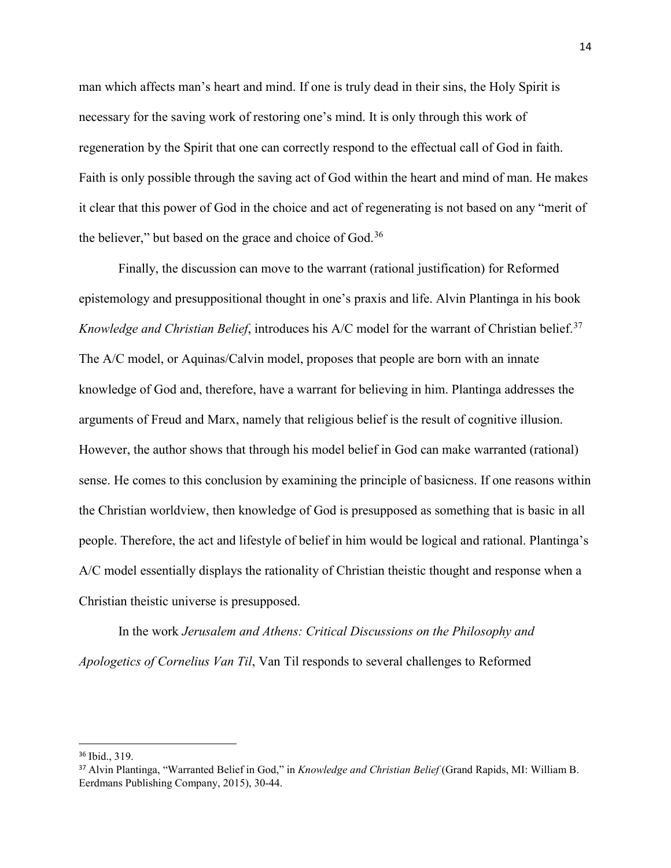man which affects man's heart and mind. If one is truly dead in their sins, the Holy Spirit is necessary for the saving work of restoring one's mind. It is only through this work of regeneration by the Spirit that one can correctly respond to the effectual call of God in faith. Faith is only possible through the saving act of God within the heart and mind of man. He makes it clear that this power of God in the choice and act of regenerating is not based on any "merit of the believer," but based on the grace and choice of  $God.^{36}$  $God.^{36}$  $God.^{36}$ 

Finally, the discussion can move to the warrant (rational justification) for Reformed epistemology and presuppositional thought in one's praxis and life. Alvin Plantinga in his book *Knowledge and Christian Belief*, introduces his A/C model for the warrant of Christian belief.<sup>[37](#page-20-1)</sup> The A/C model, or Aquinas/Calvin model, proposes that people are born with an innate knowledge of God and, therefore, have a warrant for believing in him. Plantinga addresses the arguments of Freud and Marx, namely that religious belief is the result of cognitive illusion. However, the author shows that through his model belief in God can make warranted (rational) sense. He comes to this conclusion by examining the principle of basicness. If one reasons within the Christian worldview, then knowledge of God is presupposed as something that is basic in all people. Therefore, the act and lifestyle of belief in him would be logical and rational. Plantinga's A/C model essentially displays the rationality of Christian theistic thought and response when a Christian theistic universe is presupposed.

In the work *Jerusalem and Athens: Critical Discussions on the Philosophy and Apologetics of Cornelius Van Til*, Van Til responds to several challenges to Reformed

<span id="page-20-0"></span> <sup>36</sup> Ibid., 319.

<span id="page-20-1"></span><sup>37</sup> Alvin Plantinga, "Warranted Belief in God," in *Knowledge and Christian Belief* (Grand Rapids, MI: William B. Eerdmans Publishing Company, 2015), 30-44.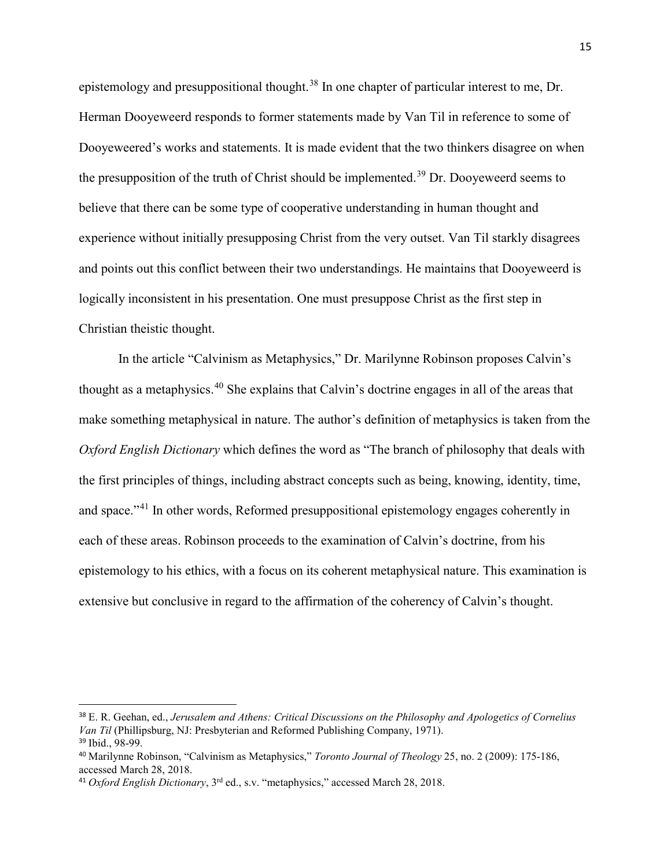epistemology and presuppositional thought.<sup>[38](#page-21-0)</sup> In one chapter of particular interest to me, Dr. Herman Dooyeweerd responds to former statements made by Van Til in reference to some of Dooyeweered's works and statements. It is made evident that the two thinkers disagree on when the presupposition of the truth of Christ should be implemented.<sup>[39](#page-21-1)</sup> Dr. Dooyeweerd seems to believe that there can be some type of cooperative understanding in human thought and experience without initially presupposing Christ from the very outset. Van Til starkly disagrees and points out this conflict between their two understandings. He maintains that Dooyeweerd is logically inconsistent in his presentation. One must presuppose Christ as the first step in Christian theistic thought.

In the article "Calvinism as Metaphysics," Dr. Marilynne Robinson proposes Calvin's thought as a metaphysics.[40](#page-21-2) She explains that Calvin's doctrine engages in all of the areas that make something metaphysical in nature. The author's definition of metaphysics is taken from the *Oxford English Dictionary* which defines the word as "The branch of philosophy that deals with the first principles of things, including abstract concepts such as being, knowing, identity, time, and space."[41](#page-21-3) In other words, Reformed presuppositional epistemology engages coherently in each of these areas. Robinson proceeds to the examination of Calvin's doctrine, from his epistemology to his ethics, with a focus on its coherent metaphysical nature. This examination is extensive but conclusive in regard to the affirmation of the coherency of Calvin's thought.

<span id="page-21-0"></span> <sup>38</sup> E. R. Geehan, ed., *Jerusalem and Athens: Critical Discussions on the Philosophy and Apologetics of Cornelius Van Til* (Phillipsburg, NJ: Presbyterian and Reformed Publishing Company, 1971). <sup>39</sup> Ibid., 98-99.

<span id="page-21-2"></span><span id="page-21-1"></span><sup>40</sup> Marilynne Robinson, "Calvinism as Metaphysics," *Toronto Journal of Theology* 25, no. 2 (2009): 175-186, accessed March 28, 2018.

<span id="page-21-3"></span><sup>41</sup> *Oxford English Dictionary*, 3rd ed., s.v. "metaphysics," accessed March 28, 2018.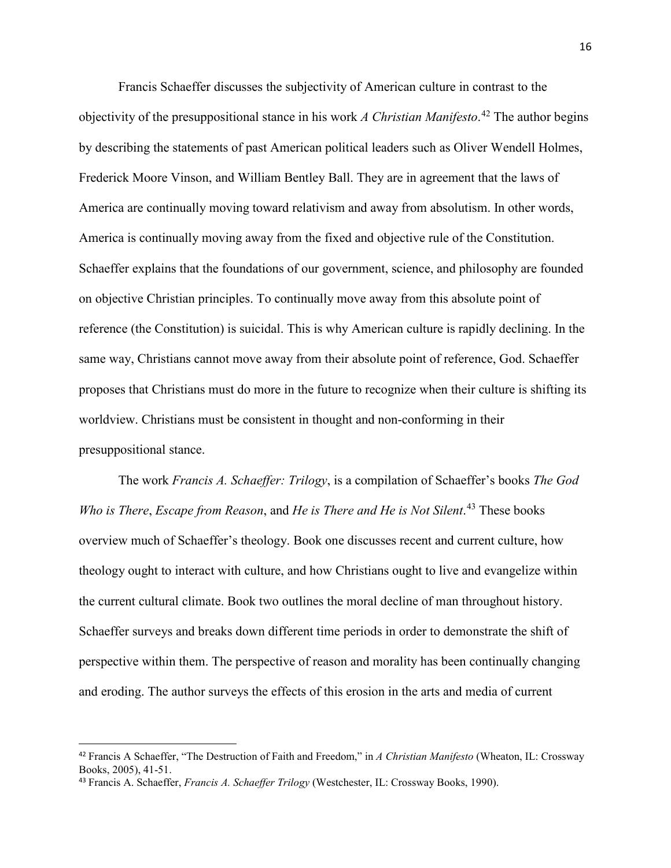Francis Schaeffer discusses the subjectivity of American culture in contrast to the objectivity of the presuppositional stance in his work *A Christian Manifesto*. [42](#page-22-0) The author begins by describing the statements of past American political leaders such as Oliver Wendell Holmes, Frederick Moore Vinson, and William Bentley Ball. They are in agreement that the laws of America are continually moving toward relativism and away from absolutism. In other words, America is continually moving away from the fixed and objective rule of the Constitution. Schaeffer explains that the foundations of our government, science, and philosophy are founded on objective Christian principles. To continually move away from this absolute point of reference (the Constitution) is suicidal. This is why American culture is rapidly declining. In the same way, Christians cannot move away from their absolute point of reference, God. Schaeffer proposes that Christians must do more in the future to recognize when their culture is shifting its worldview. Christians must be consistent in thought and non-conforming in their presuppositional stance.

The work *Francis A. Schaeffer: Trilogy*, is a compilation of Schaeffer's books *The God Who is There*, *Escape from Reason*, and *He is There and He is Not Silent*. [43](#page-22-1) These books overview much of Schaeffer's theology. Book one discusses recent and current culture, how theology ought to interact with culture, and how Christians ought to live and evangelize within the current cultural climate. Book two outlines the moral decline of man throughout history. Schaeffer surveys and breaks down different time periods in order to demonstrate the shift of perspective within them. The perspective of reason and morality has been continually changing and eroding. The author surveys the effects of this erosion in the arts and media of current

<span id="page-22-0"></span> <sup>42</sup> Francis A Schaeffer, "The Destruction of Faith and Freedom," in *A Christian Manifesto* (Wheaton, IL: Crossway Books, 2005), 41-51.

<span id="page-22-1"></span><sup>43</sup> Francis A. Schaeffer, *Francis A. Schaeffer Trilogy* (Westchester, IL: Crossway Books, 1990).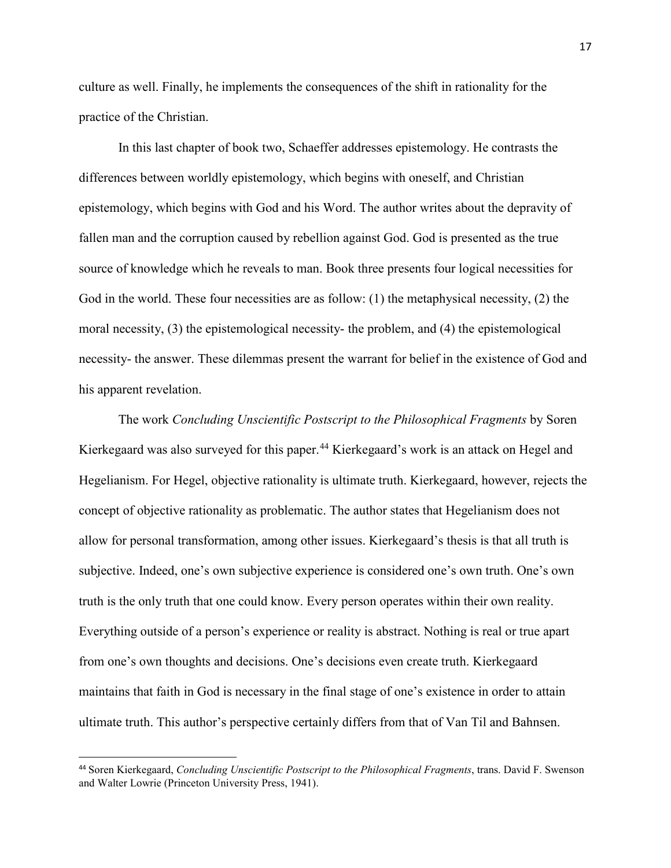culture as well. Finally, he implements the consequences of the shift in rationality for the practice of the Christian.

In this last chapter of book two, Schaeffer addresses epistemology. He contrasts the differences between worldly epistemology, which begins with oneself, and Christian epistemology, which begins with God and his Word. The author writes about the depravity of fallen man and the corruption caused by rebellion against God. God is presented as the true source of knowledge which he reveals to man. Book three presents four logical necessities for God in the world. These four necessities are as follow: (1) the metaphysical necessity, (2) the moral necessity, (3) the epistemological necessity- the problem, and (4) the epistemological necessity- the answer. These dilemmas present the warrant for belief in the existence of God and his apparent revelation.

The work *Concluding Unscientific Postscript to the Philosophical Fragments* by Soren Kierkegaard was also surveyed for this paper.<sup>[44](#page-23-0)</sup> Kierkegaard's work is an attack on Hegel and Hegelianism. For Hegel, objective rationality is ultimate truth. Kierkegaard, however, rejects the concept of objective rationality as problematic. The author states that Hegelianism does not allow for personal transformation, among other issues. Kierkegaard's thesis is that all truth is subjective. Indeed, one's own subjective experience is considered one's own truth. One's own truth is the only truth that one could know. Every person operates within their own reality. Everything outside of a person's experience or reality is abstract. Nothing is real or true apart from one's own thoughts and decisions. One's decisions even create truth. Kierkegaard maintains that faith in God is necessary in the final stage of one's existence in order to attain ultimate truth. This author's perspective certainly differs from that of Van Til and Bahnsen.

<span id="page-23-0"></span> <sup>44</sup> Soren Kierkegaard, *Concluding Unscientific Postscript to the Philosophical Fragments*, trans. David F. Swenson and Walter Lowrie (Princeton University Press, 1941).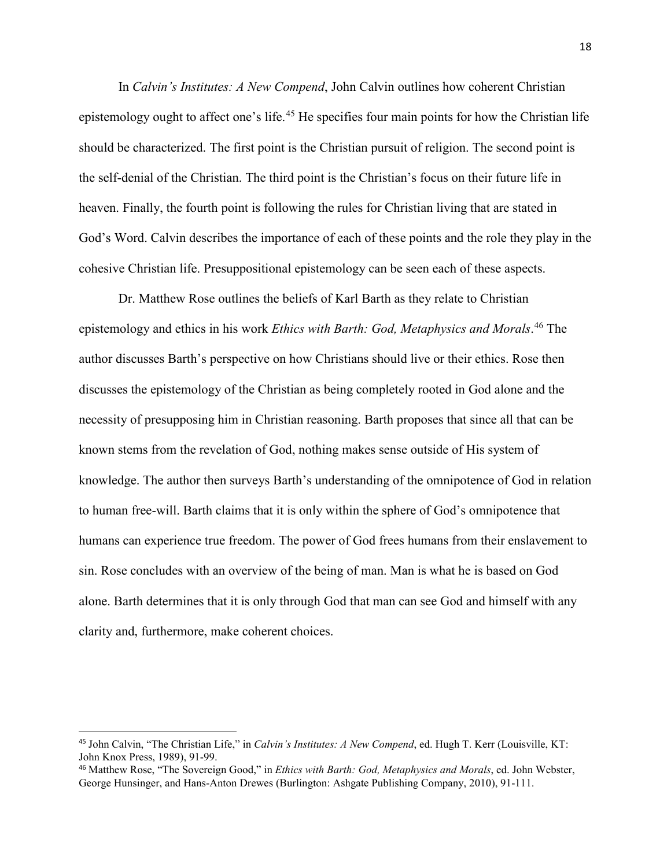In *Calvin's Institutes: A New Compend*, John Calvin outlines how coherent Christian epistemology ought to affect one's life.<sup>[45](#page-24-0)</sup> He specifies four main points for how the Christian life should be characterized. The first point is the Christian pursuit of religion. The second point is the self-denial of the Christian. The third point is the Christian's focus on their future life in heaven. Finally, the fourth point is following the rules for Christian living that are stated in God's Word. Calvin describes the importance of each of these points and the role they play in the cohesive Christian life. Presuppositional epistemology can be seen each of these aspects.

Dr. Matthew Rose outlines the beliefs of Karl Barth as they relate to Christian epistemology and ethics in his work *Ethics with Barth: God, Metaphysics and Morals*. [46](#page-24-1) The author discusses Barth's perspective on how Christians should live or their ethics. Rose then discusses the epistemology of the Christian as being completely rooted in God alone and the necessity of presupposing him in Christian reasoning. Barth proposes that since all that can be known stems from the revelation of God, nothing makes sense outside of His system of knowledge. The author then surveys Barth's understanding of the omnipotence of God in relation to human free-will. Barth claims that it is only within the sphere of God's omnipotence that humans can experience true freedom. The power of God frees humans from their enslavement to sin. Rose concludes with an overview of the being of man. Man is what he is based on God alone. Barth determines that it is only through God that man can see God and himself with any clarity and, furthermore, make coherent choices.

<span id="page-24-0"></span> <sup>45</sup> John Calvin, "The Christian Life," in *Calvin's Institutes: A New Compend*, ed. Hugh T. Kerr (Louisville, KT: John Knox Press, 1989), 91-99.

<span id="page-24-1"></span><sup>46</sup> Matthew Rose, "The Sovereign Good," in *Ethics with Barth: God, Metaphysics and Morals*, ed. John Webster, George Hunsinger, and Hans-Anton Drewes (Burlington: Ashgate Publishing Company, 2010), 91-111.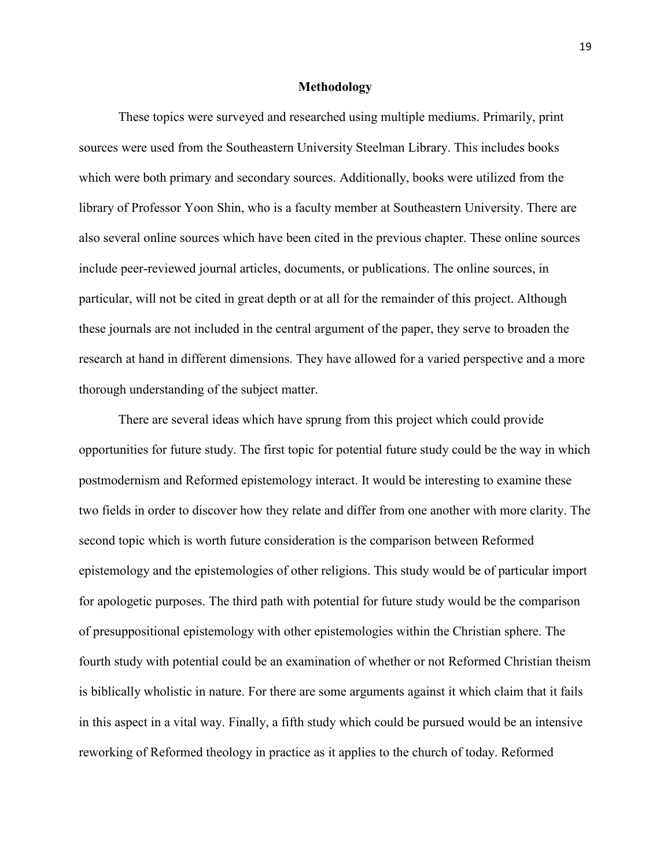#### **Methodology**

These topics were surveyed and researched using multiple mediums. Primarily, print sources were used from the Southeastern University Steelman Library. This includes books which were both primary and secondary sources. Additionally, books were utilized from the library of Professor Yoon Shin, who is a faculty member at Southeastern University. There are also several online sources which have been cited in the previous chapter. These online sources include peer-reviewed journal articles, documents, or publications. The online sources, in particular, will not be cited in great depth or at all for the remainder of this project. Although these journals are not included in the central argument of the paper, they serve to broaden the research at hand in different dimensions. They have allowed for a varied perspective and a more thorough understanding of the subject matter.

There are several ideas which have sprung from this project which could provide opportunities for future study. The first topic for potential future study could be the way in which postmodernism and Reformed epistemology interact. It would be interesting to examine these two fields in order to discover how they relate and differ from one another with more clarity. The second topic which is worth future consideration is the comparison between Reformed epistemology and the epistemologies of other religions. This study would be of particular import for apologetic purposes. The third path with potential for future study would be the comparison of presuppositional epistemology with other epistemologies within the Christian sphere. The fourth study with potential could be an examination of whether or not Reformed Christian theism is biblically wholistic in nature. For there are some arguments against it which claim that it fails in this aspect in a vital way. Finally, a fifth study which could be pursued would be an intensive reworking of Reformed theology in practice as it applies to the church of today. Reformed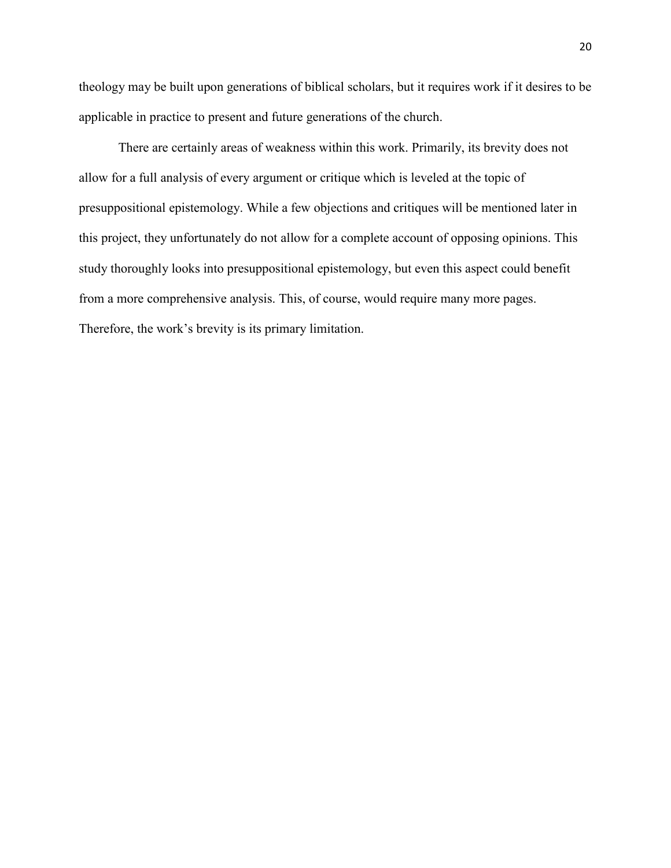theology may be built upon generations of biblical scholars, but it requires work if it desires to be applicable in practice to present and future generations of the church.

There are certainly areas of weakness within this work. Primarily, its brevity does not allow for a full analysis of every argument or critique which is leveled at the topic of presuppositional epistemology. While a few objections and critiques will be mentioned later in this project, they unfortunately do not allow for a complete account of opposing opinions. This study thoroughly looks into presuppositional epistemology, but even this aspect could benefit from a more comprehensive analysis. This, of course, would require many more pages. Therefore, the work's brevity is its primary limitation.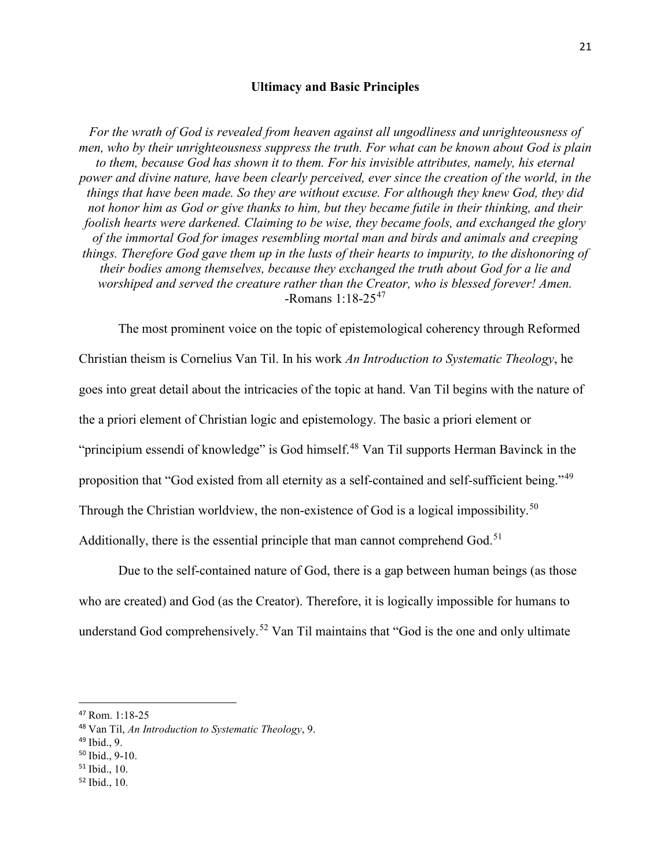# **Ultimacy and Basic Principles**

*For the wrath of God is revealed from heaven against all ungodliness and unrighteousness of men, who by their unrighteousness suppress the truth. For what can be known about God is plain to them, because God has shown it to them. For his invisible attributes, namely, his eternal power and divine nature, have been clearly perceived, ever since the creation of the world, in the things that have been made. So they are without excuse. For although they knew God, they did not honor him as God or give thanks to him, but they became futile in their thinking, and their foolish hearts were darkened. Claiming to be wise, they became fools, and exchanged the glory of the immortal God for images resembling mortal man and birds and animals and creeping things. Therefore God gave them up in the lusts of their hearts to impurity, to the dishonoring of their bodies among themselves, because they exchanged the truth about God for a lie and worshiped and served the creature rather than the Creator, who is blessed forever! Amen.* -Romans 1:18-25[47](#page-27-0)

The most prominent voice on the topic of epistemological coherency through Reformed Christian theism is Cornelius Van Til. In his work *An Introduction to Systematic Theology*, he goes into great detail about the intricacies of the topic at hand. Van Til begins with the nature of the a priori element of Christian logic and epistemology. The basic a priori element or "principium essendi of knowledge" is God himself.<sup>[48](#page-27-1)</sup> Van Til supports Herman Bavinck in the proposition that "God existed from all eternity as a self-contained and self-sufficient being."<sup>[49](#page-27-2)</sup> Through the Christian worldview, the non-existence of God is a logical impossibility.<sup>[50](#page-27-3)</sup> Additionally, there is the essential principle that man cannot comprehend  $God.<sup>51</sup>$  $God.<sup>51</sup>$  $God.<sup>51</sup>$ 

Due to the self-contained nature of God, there is a gap between human beings (as those who are created) and God (as the Creator). Therefore, it is logically impossible for humans to understand God comprehensively.<sup>[52](#page-27-5)</sup> Van Til maintains that "God is the one and only ultimate

<span id="page-27-5"></span><sup>52</sup> Ibid., 10.

<span id="page-27-0"></span> <sup>47</sup> Rom. 1:18-25

<span id="page-27-1"></span><sup>48</sup> Van Til, *An Introduction to Systematic Theology*, 9.

<span id="page-27-2"></span><sup>49</sup> Ibid., 9.

<span id="page-27-3"></span><sup>50</sup> Ibid., 9-10.

<span id="page-27-4"></span><sup>51</sup> Ibid., 10.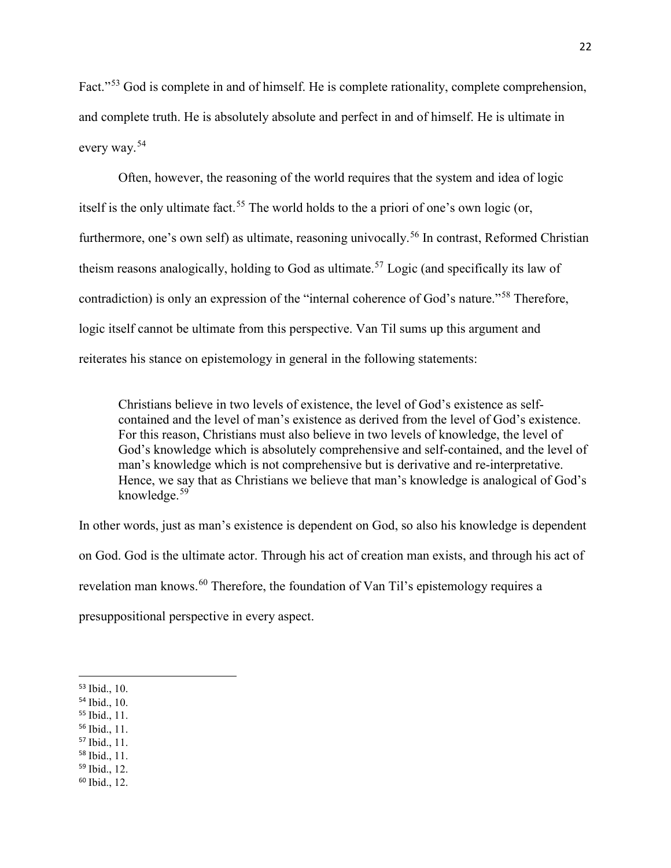Fact."<sup>[53](#page-28-0)</sup> God is complete in and of himself. He is complete rationality, complete comprehension, and complete truth. He is absolutely absolute and perfect in and of himself. He is ultimate in every way.[54](#page-28-1)

Often, however, the reasoning of the world requires that the system and idea of logic itself is the only ultimate fact.<sup>[55](#page-28-2)</sup> The world holds to the a priori of one's own logic (or, furthermore, one's own self) as ultimate, reasoning univocally.<sup>[56](#page-28-3)</sup> In contrast, Reformed Christian theism reasons analogically, holding to God as ultimate.<sup>[57](#page-28-4)</sup> Logic (and specifically its law of contradiction) is only an expression of the "internal coherence of God's nature."[58](#page-28-5) Therefore, logic itself cannot be ultimate from this perspective. Van Til sums up this argument and reiterates his stance on epistemology in general in the following statements:

Christians believe in two levels of existence, the level of God's existence as selfcontained and the level of man's existence as derived from the level of God's existence. For this reason, Christians must also believe in two levels of knowledge, the level of God's knowledge which is absolutely comprehensive and self-contained, and the level of man's knowledge which is not comprehensive but is derivative and re-interpretative. Hence, we say that as Christians we believe that man's knowledge is analogical of God's knowledge. $59$ 

In other words, just as man's existence is dependent on God, so also his knowledge is dependent on God. God is the ultimate actor. Through his act of creation man exists, and through his act of revelation man knows.<sup>[60](#page-28-7)</sup> Therefore, the foundation of Van Til's epistemology requires a presuppositional perspective in every aspect.

- <span id="page-28-1"></span><sup>54</sup> Ibid., 10.
- <span id="page-28-2"></span><sup>55</sup> Ibid., 11.
- <span id="page-28-3"></span><sup>56</sup> Ibid., 11.
- <span id="page-28-4"></span><sup>57</sup> Ibid., 11.
- <span id="page-28-5"></span><sup>58</sup> Ibid., 11.
- <span id="page-28-6"></span><sup>59</sup> Ibid., 12.
- <span id="page-28-7"></span><sup>60</sup> Ibid., 12.

<span id="page-28-0"></span> <sup>53</sup> Ibid., 10.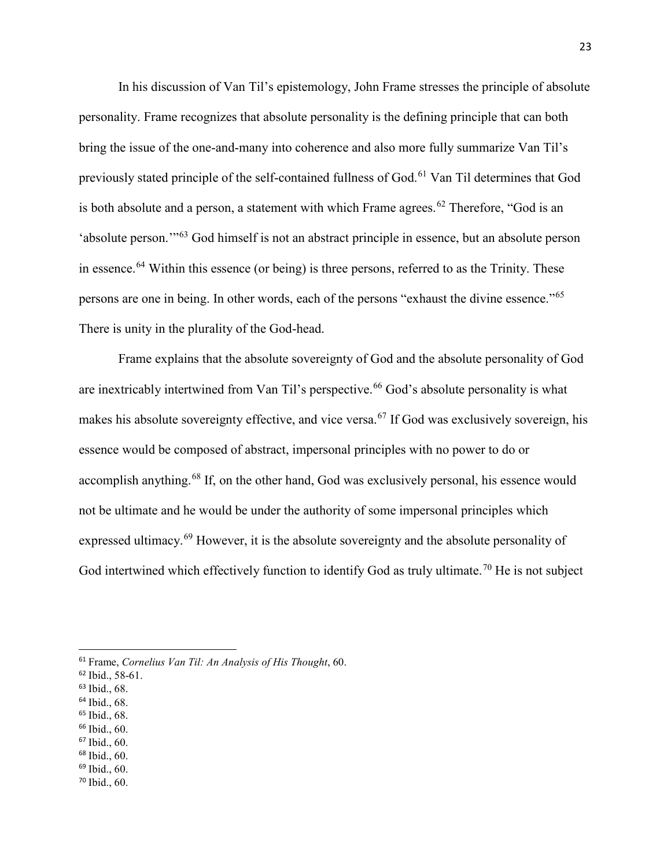In his discussion of Van Til's epistemology, John Frame stresses the principle of absolute personality. Frame recognizes that absolute personality is the defining principle that can both bring the issue of the one-and-many into coherence and also more fully summarize Van Til's previously stated principle of the self-contained fullness of God.<sup>[61](#page-29-0)</sup> Van Til determines that God is both absolute and a person, a statement with which Frame agrees.<sup>[62](#page-29-1)</sup> Therefore, "God is an 'absolute person.'"[63](#page-29-2) God himself is not an abstract principle in essence, but an absolute person in essence.<sup>[64](#page-29-3)</sup> Within this essence (or being) is three persons, referred to as the Trinity. These persons are one in being. In other words, each of the persons "exhaust the divine essence."<sup>[65](#page-29-4)</sup> There is unity in the plurality of the God-head.

Frame explains that the absolute sovereignty of God and the absolute personality of God are inextricably intertwined from Van Til's perspective.<sup>[66](#page-29-5)</sup> God's absolute personality is what makes his absolute sovereignty effective, and vice versa.<sup>[67](#page-29-6)</sup> If God was exclusively sovereign, his essence would be composed of abstract, impersonal principles with no power to do or accomplish anything.<sup>[68](#page-29-7)</sup> If, on the other hand, God was exclusively personal, his essence would not be ultimate and he would be under the authority of some impersonal principles which expressed ultimacy.<sup>[69](#page-29-8)</sup> However, it is the absolute sovereignty and the absolute personality of God intertwined which effectively function to identify God as truly ultimate.<sup>[70](#page-29-9)</sup> He is not subject

<span id="page-29-1"></span><sup>62</sup> Ibid., 58-61.

- <span id="page-29-3"></span><sup>64</sup> Ibid., 68.
- <span id="page-29-4"></span><sup>65</sup> Ibid., 68.
- <span id="page-29-5"></span><sup>66</sup> Ibid., 60.
- <span id="page-29-6"></span><sup>67</sup> Ibid., 60.
- <span id="page-29-7"></span><sup>68</sup> Ibid., 60.
- <span id="page-29-9"></span><span id="page-29-8"></span><sup>69</sup> Ibid., 60. <sup>70</sup> Ibid., 60.

<span id="page-29-0"></span> <sup>61</sup> Frame, *Cornelius Van Til: An Analysis of His Thought*, 60.

<span id="page-29-2"></span><sup>63</sup> Ibid., 68.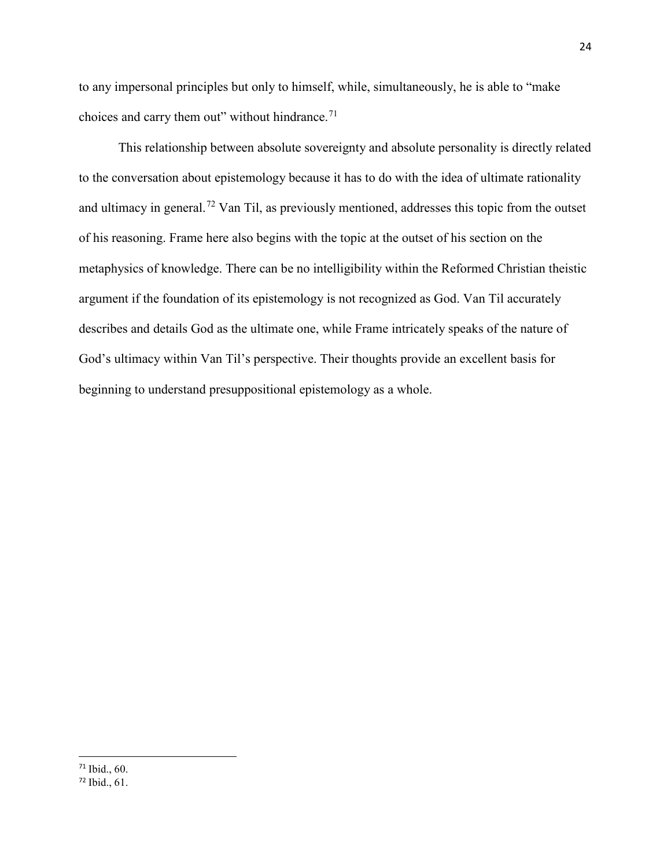to any impersonal principles but only to himself, while, simultaneously, he is able to "make choices and carry them out" without hindrance. $71$ 

This relationship between absolute sovereignty and absolute personality is directly related to the conversation about epistemology because it has to do with the idea of ultimate rationality and ultimacy in general.<sup>[72](#page-30-1)</sup> Van Til, as previously mentioned, addresses this topic from the outset of his reasoning. Frame here also begins with the topic at the outset of his section on the metaphysics of knowledge. There can be no intelligibility within the Reformed Christian theistic argument if the foundation of its epistemology is not recognized as God. Van Til accurately describes and details God as the ultimate one, while Frame intricately speaks of the nature of God's ultimacy within Van Til's perspective. Their thoughts provide an excellent basis for beginning to understand presuppositional epistemology as a whole.

<span id="page-30-0"></span> <sup>71</sup> Ibid., 60.

<span id="page-30-1"></span><sup>72</sup> Ibid., 61.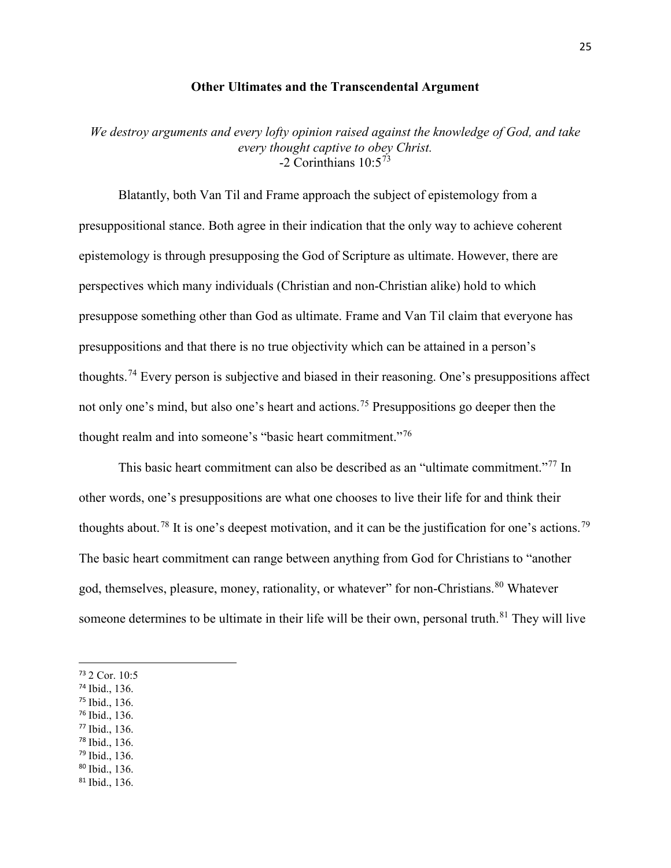## **Other Ultimates and the Transcendental Argument**

*We destroy arguments and every lofty opinion raised against the knowledge of God, and take every thought captive to obey Christ.* -2 Corinthians  $10:5^{73}$  $10:5^{73}$  $10:5^{73}$ 

Blatantly, both Van Til and Frame approach the subject of epistemology from a presuppositional stance. Both agree in their indication that the only way to achieve coherent epistemology is through presupposing the God of Scripture as ultimate. However, there are perspectives which many individuals (Christian and non-Christian alike) hold to which presuppose something other than God as ultimate. Frame and Van Til claim that everyone has presuppositions and that there is no true objectivity which can be attained in a person's thoughts.[74](#page-31-1) Every person is subjective and biased in their reasoning. One's presuppositions affect not only one's mind, but also one's heart and actions.<sup>[75](#page-31-2)</sup> Presuppositions go deeper then the thought realm and into someone's "basic heart commitment."[76](#page-31-3)

This basic heart commitment can also be described as an "ultimate commitment."<sup>[77](#page-31-4)</sup> In other words, one's presuppositions are what one chooses to live their life for and think their thoughts about.<sup>[78](#page-31-5)</sup> It is one's deepest motivation, and it can be the justification for one's actions.<sup>[79](#page-31-6)</sup> The basic heart commitment can range between anything from God for Christians to "another god, themselves, pleasure, money, rationality, or whatever" for non-Christians.<sup>[80](#page-31-7)</sup> Whatever someone determines to be ultimate in their life will be their own, personal truth.<sup>[81](#page-31-8)</sup> They will live

- <span id="page-31-2"></span><sup>75</sup> Ibid., 136.
- <span id="page-31-3"></span><sup>76</sup> Ibid., 136.
- <span id="page-31-4"></span><sup>77</sup> Ibid., 136.
- <span id="page-31-5"></span><sup>78</sup> Ibid., 136.
- <span id="page-31-6"></span><sup>79</sup> Ibid., 136.
- <span id="page-31-7"></span><sup>80</sup> Ibid., 136.
- <span id="page-31-8"></span><sup>81</sup> Ibid., 136.

<span id="page-31-0"></span> <sup>73</sup> 2 Cor. 10:5

<span id="page-31-1"></span><sup>74</sup> Ibid., 136.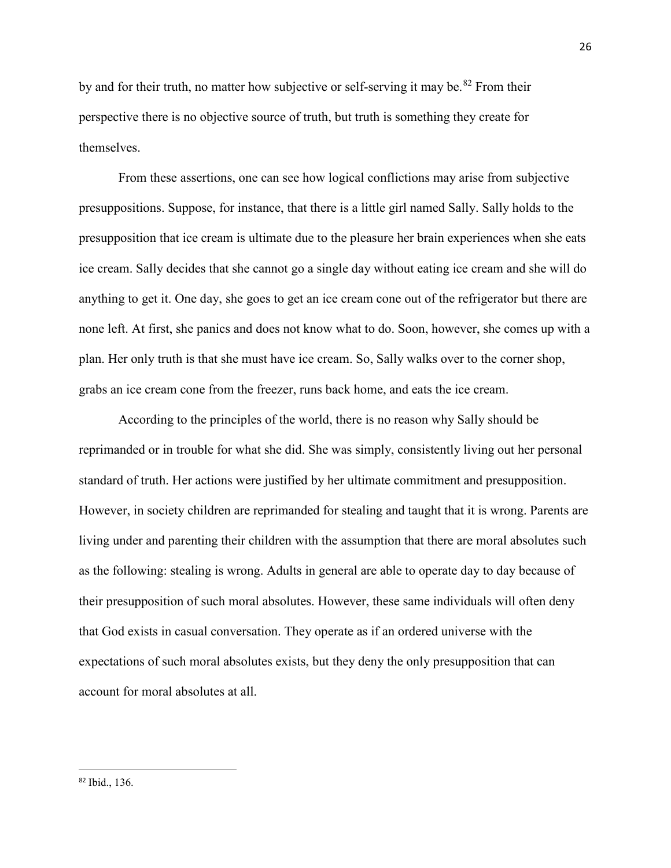by and for their truth, no matter how subjective or self-serving it may be.<sup>[82](#page-32-0)</sup> From their perspective there is no objective source of truth, but truth is something they create for themselves.

From these assertions, one can see how logical conflictions may arise from subjective presuppositions. Suppose, for instance, that there is a little girl named Sally. Sally holds to the presupposition that ice cream is ultimate due to the pleasure her brain experiences when she eats ice cream. Sally decides that she cannot go a single day without eating ice cream and she will do anything to get it. One day, she goes to get an ice cream cone out of the refrigerator but there are none left. At first, she panics and does not know what to do. Soon, however, she comes up with a plan. Her only truth is that she must have ice cream. So, Sally walks over to the corner shop, grabs an ice cream cone from the freezer, runs back home, and eats the ice cream.

According to the principles of the world, there is no reason why Sally should be reprimanded or in trouble for what she did. She was simply, consistently living out her personal standard of truth. Her actions were justified by her ultimate commitment and presupposition. However, in society children are reprimanded for stealing and taught that it is wrong. Parents are living under and parenting their children with the assumption that there are moral absolutes such as the following: stealing is wrong. Adults in general are able to operate day to day because of their presupposition of such moral absolutes. However, these same individuals will often deny that God exists in casual conversation. They operate as if an ordered universe with the expectations of such moral absolutes exists, but they deny the only presupposition that can account for moral absolutes at all.

<span id="page-32-0"></span> <sup>82</sup> Ibid., 136.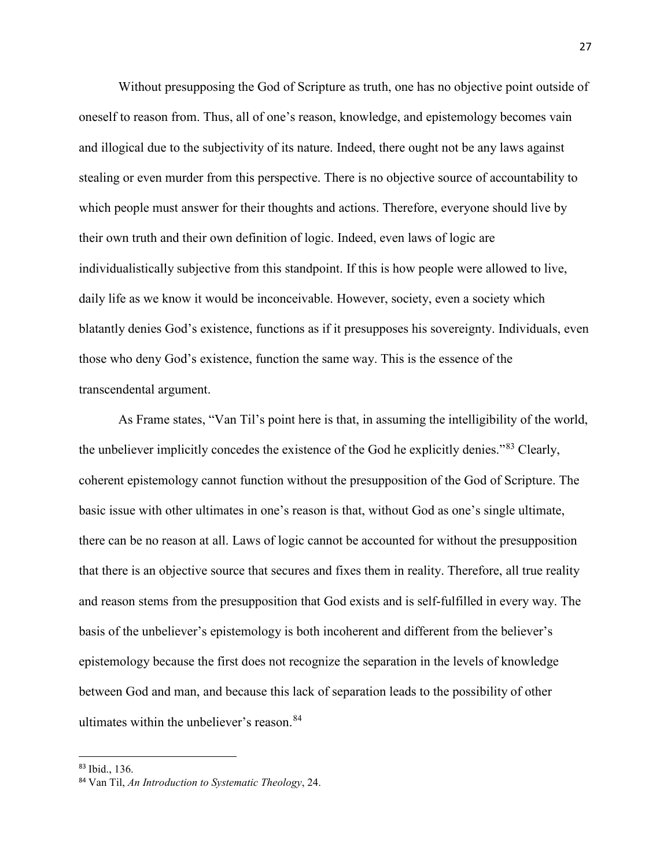Without presupposing the God of Scripture as truth, one has no objective point outside of oneself to reason from. Thus, all of one's reason, knowledge, and epistemology becomes vain and illogical due to the subjectivity of its nature. Indeed, there ought not be any laws against stealing or even murder from this perspective. There is no objective source of accountability to which people must answer for their thoughts and actions. Therefore, everyone should live by their own truth and their own definition of logic. Indeed, even laws of logic are individualistically subjective from this standpoint. If this is how people were allowed to live, daily life as we know it would be inconceivable. However, society, even a society which blatantly denies God's existence, functions as if it presupposes his sovereignty. Individuals, even those who deny God's existence, function the same way. This is the essence of the transcendental argument.

As Frame states, "Van Til's point here is that, in assuming the intelligibility of the world, the unbeliever implicitly concedes the existence of the God he explicitly denies."[83](#page-33-0) Clearly, coherent epistemology cannot function without the presupposition of the God of Scripture. The basic issue with other ultimates in one's reason is that, without God as one's single ultimate, there can be no reason at all. Laws of logic cannot be accounted for without the presupposition that there is an objective source that secures and fixes them in reality. Therefore, all true reality and reason stems from the presupposition that God exists and is self-fulfilled in every way. The basis of the unbeliever's epistemology is both incoherent and different from the believer's epistemology because the first does not recognize the separation in the levels of knowledge between God and man, and because this lack of separation leads to the possibility of other ultimates within the unbeliever's reason.<sup>[84](#page-33-1)</sup>

<span id="page-33-0"></span> <sup>83</sup> Ibid., 136.

<span id="page-33-1"></span><sup>84</sup> Van Til, *An Introduction to Systematic Theology*, 24.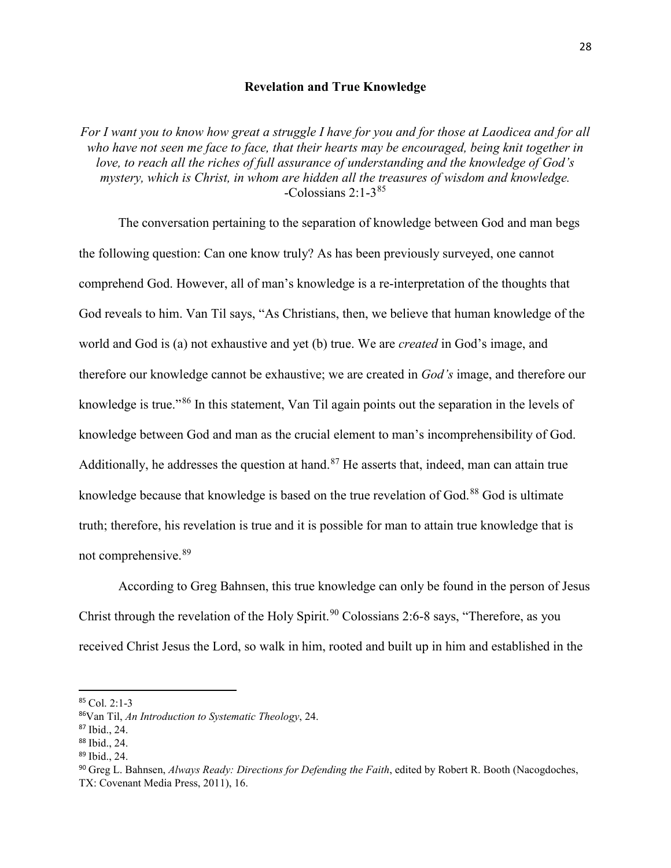# **Revelation and True Knowledge**

*For I want you to know how great a struggle I have for you and for those at Laodicea and for all who have not seen me face to face, that their hearts may be encouraged, being knit together in love, to reach all the riches of full assurance of understanding and the knowledge of God's mystery, which is Christ, in whom are hidden all the treasures of wisdom and knowledge.* -Colossians  $2:1-3^{85}$  $2:1-3^{85}$  $2:1-3^{85}$ 

The conversation pertaining to the separation of knowledge between God and man begs the following question: Can one know truly? As has been previously surveyed, one cannot comprehend God. However, all of man's knowledge is a re-interpretation of the thoughts that God reveals to him. Van Til says, "As Christians, then, we believe that human knowledge of the world and God is (a) not exhaustive and yet (b) true. We are *created* in God's image, and therefore our knowledge cannot be exhaustive; we are created in *God's* image, and therefore our knowledge is true."[86](#page-34-1) In this statement, Van Til again points out the separation in the levels of knowledge between God and man as the crucial element to man's incomprehensibility of God. Additionally, he addresses the question at hand.<sup>[87](#page-34-2)</sup> He asserts that, indeed, man can attain true knowledge because that knowledge is based on the true revelation of God.<sup>[88](#page-34-3)</sup> God is ultimate truth; therefore, his revelation is true and it is possible for man to attain true knowledge that is not comprehensive.<sup>[89](#page-34-4)</sup>

According to Greg Bahnsen, this true knowledge can only be found in the person of Jesus Christ through the revelation of the Holy Spirit.<sup>[90](#page-34-5)</sup> Colossians 2:6-8 says, "Therefore, as you received Christ Jesus the Lord, so walk in him, rooted and built up in him and established in the

<span id="page-34-0"></span> <sup>85</sup> Col. 2:1-3

<span id="page-34-1"></span><sup>86</sup>Van Til, *An Introduction to Systematic Theology*, 24.

<span id="page-34-2"></span><sup>87</sup> Ibid., 24.

<span id="page-34-3"></span><sup>88</sup> Ibid., 24.

<span id="page-34-4"></span><sup>89</sup> Ibid., 24.

<span id="page-34-5"></span><sup>90</sup> Greg L. Bahnsen, *Always Ready: Directions for Defending the Faith*, edited by Robert R. Booth (Nacogdoches, TX: Covenant Media Press, 2011), 16.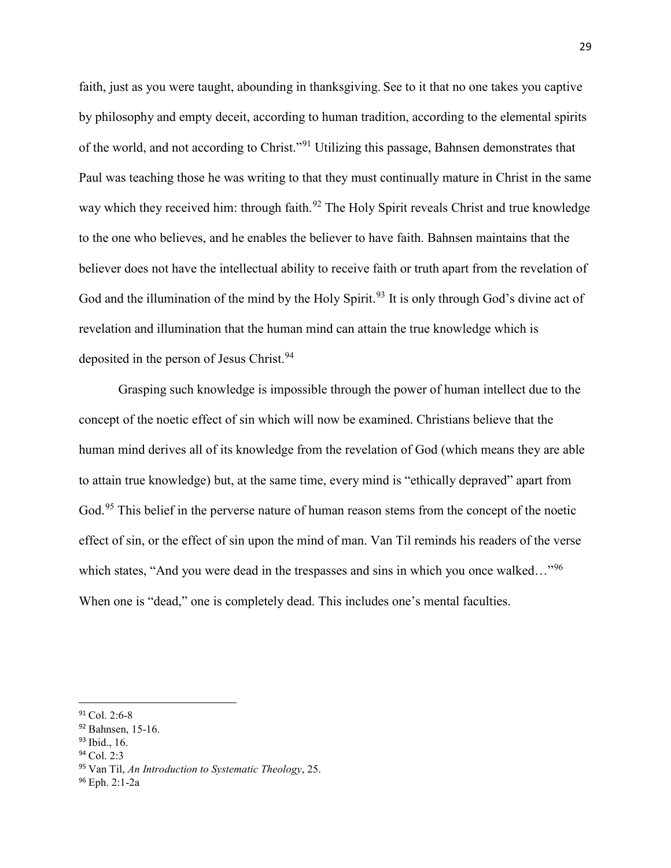faith, just as you were taught, abounding in thanksgiving. See to it that no one takes you captive by philosophy and empty deceit, according to human tradition, according to the elemental spirits of the world, and not according to Christ."[91](#page-35-0) Utilizing this passage, Bahnsen demonstrates that Paul was teaching those he was writing to that they must continually mature in Christ in the same way which they received him: through faith.<sup>[92](#page-35-1)</sup> The Holy Spirit reveals Christ and true knowledge to the one who believes, and he enables the believer to have faith. Bahnsen maintains that the believer does not have the intellectual ability to receive faith or truth apart from the revelation of God and the illumination of the mind by the Holy Spirit.<sup>[93](#page-35-2)</sup> It is only through God's divine act of revelation and illumination that the human mind can attain the true knowledge which is deposited in the person of Jesus Christ.<sup>[94](#page-35-3)</sup>

Grasping such knowledge is impossible through the power of human intellect due to the concept of the noetic effect of sin which will now be examined. Christians believe that the human mind derives all of its knowledge from the revelation of God (which means they are able to attain true knowledge) but, at the same time, every mind is "ethically depraved" apart from God.<sup>[95](#page-35-4)</sup> This belief in the perverse nature of human reason stems from the concept of the noetic effect of sin, or the effect of sin upon the mind of man. Van Til reminds his readers of the verse which states, "And you were dead in the trespasses and sins in which you once walked..."<sup>[96](#page-35-5)</sup> When one is "dead," one is completely dead. This includes one's mental faculties.

<span id="page-35-3"></span><sup>94</sup> Col. 2:3

<span id="page-35-0"></span> $91$  Col. 2:6-8

<span id="page-35-1"></span><sup>&</sup>lt;sup>92</sup> Bahnsen, 15-16.

<span id="page-35-2"></span><sup>93</sup> Ibid., 16.

<span id="page-35-4"></span><sup>95</sup> Van Til, *An Introduction to Systematic Theology*, 25.

<span id="page-35-5"></span><sup>96</sup> Eph. 2:1-2a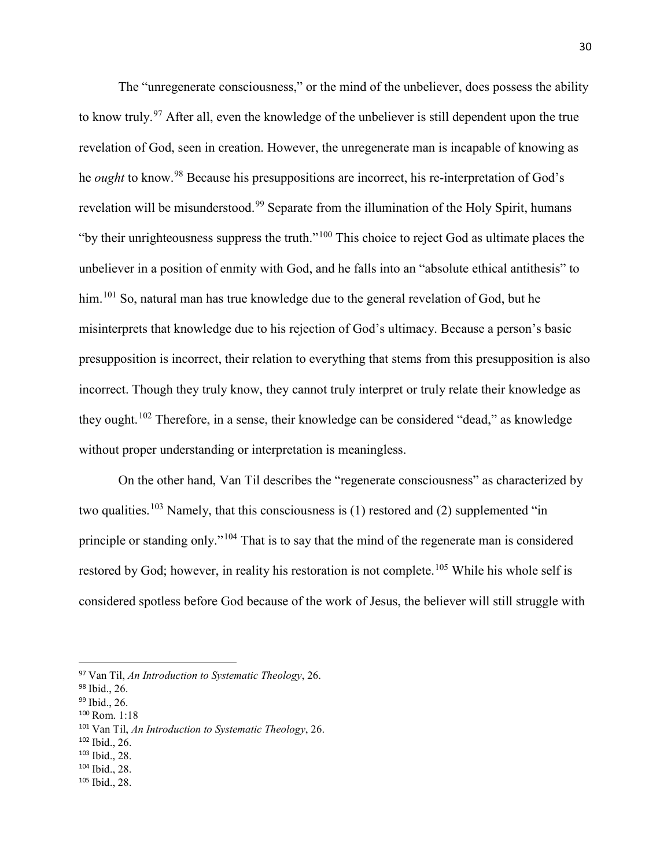The "unregenerate consciousness," or the mind of the unbeliever, does possess the ability to know truly.<sup>[97](#page-36-0)</sup> After all, even the knowledge of the unbeliever is still dependent upon the true revelation of God, seen in creation. However, the unregenerate man is incapable of knowing as he *ought* to know.<sup>[98](#page-36-1)</sup> Because his presuppositions are incorrect, his re-interpretation of God's revelation will be misunderstood.<sup>[99](#page-36-2)</sup> Separate from the illumination of the Holy Spirit, humans "by their unrighteousness suppress the truth."[100](#page-36-3) This choice to reject God as ultimate places the unbeliever in a position of enmity with God, and he falls into an "absolute ethical antithesis" to him.<sup>[101](#page-36-4)</sup> So, natural man has true knowledge due to the general revelation of God, but he misinterprets that knowledge due to his rejection of God's ultimacy. Because a person's basic presupposition is incorrect, their relation to everything that stems from this presupposition is also incorrect. Though they truly know, they cannot truly interpret or truly relate their knowledge as they ought.<sup>[102](#page-36-5)</sup> Therefore, in a sense, their knowledge can be considered "dead," as knowledge without proper understanding or interpretation is meaningless.

On the other hand, Van Til describes the "regenerate consciousness" as characterized by two qualities.<sup>[103](#page-36-6)</sup> Namely, that this consciousness is (1) restored and (2) supplemented "in principle or standing only."[104](#page-36-7) That is to say that the mind of the regenerate man is considered restored by God; however, in reality his restoration is not complete.<sup>[105](#page-36-8)</sup> While his whole self is considered spotless before God because of the work of Jesus, the believer will still struggle with

<span id="page-36-3"></span><sup>100</sup> Rom. 1:18

<span id="page-36-5"></span><sup>102</sup> Ibid., 26.

- <span id="page-36-7"></span><sup>104</sup> Ibid., 28.
- <span id="page-36-8"></span><sup>105</sup> Ibid., 28.

<span id="page-36-0"></span> <sup>97</sup> Van Til, *An Introduction to Systematic Theology*, 26.

<span id="page-36-1"></span><sup>98</sup> Ibid., 26.

<span id="page-36-2"></span><sup>99</sup> Ibid., 26.

<span id="page-36-4"></span><sup>101</sup> Van Til, *An Introduction to Systematic Theology*, 26.

<span id="page-36-6"></span><sup>103</sup> Ibid., 28.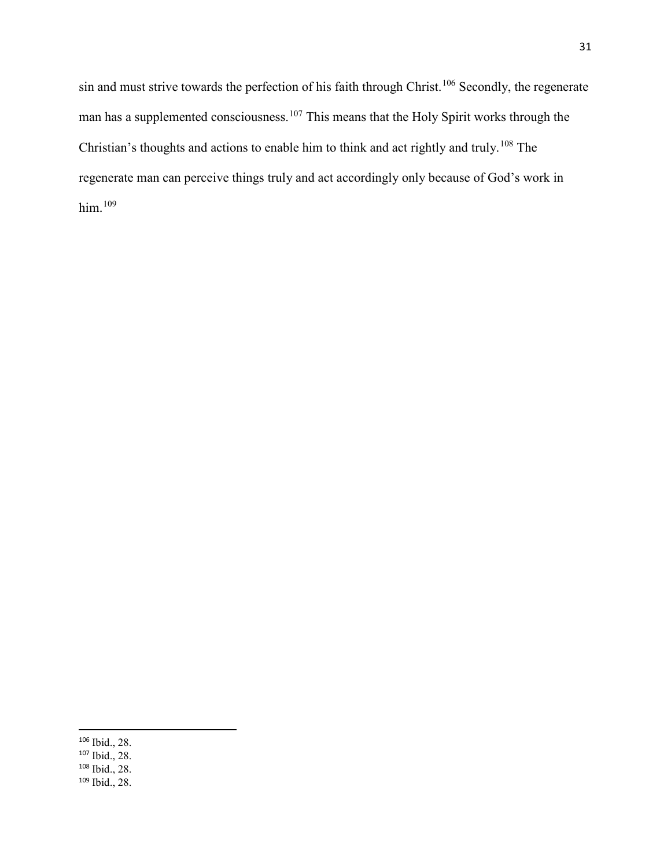sin and must strive towards the perfection of his faith through Christ.<sup>[106](#page-37-0)</sup> Secondly, the regenerate man has a supplemented consciousness.<sup>[107](#page-37-1)</sup> This means that the Holy Spirit works through the Christian's thoughts and actions to enable him to think and act rightly and truly.[108](#page-37-2) The regenerate man can perceive things truly and act accordingly only because of God's work in him.[109](#page-37-3)

<span id="page-37-0"></span> <sup>106</sup> Ibid., 28.

<span id="page-37-1"></span><sup>107</sup> Ibid., 28.

<span id="page-37-2"></span><sup>108</sup> Ibid., 28.

<span id="page-37-3"></span><sup>109</sup> Ibid., 28.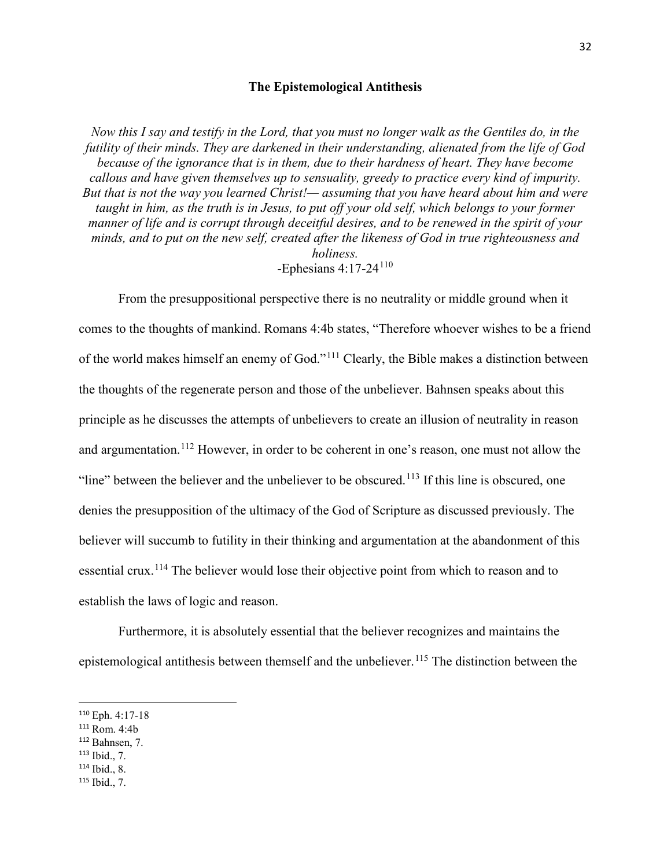# **The Epistemological Antithesis**

*Now this I say and testify in the Lord, that you must no longer walk as the Gentiles do, in the futility of their minds. They are darkened in their understanding, alienated from the life of God because of the ignorance that is in them, due to their hardness of heart. They have become callous and have given themselves up to sensuality, greedy to practice every kind of impurity. But that is not the way you learned Christ!— assuming that you have heard about him and were taught in him, as the truth is in Jesus, to put off your old self, which belongs to your former manner of life and is corrupt through deceitful desires, and to be renewed in the spirit of your minds, and to put on the new self, created after the likeness of God in true righteousness and holiness.* -Ephesians  $4:17-24^{110}$  $4:17-24^{110}$  $4:17-24^{110}$ 

From the presuppositional perspective there is no neutrality or middle ground when it comes to the thoughts of mankind. Romans 4:4b states, "Therefore whoever wishes to be a friend of the world makes himself an enemy of God."[111](#page-38-1) Clearly, the Bible makes a distinction between the thoughts of the regenerate person and those of the unbeliever. Bahnsen speaks about this principle as he discusses the attempts of unbelievers to create an illusion of neutrality in reason and argumentation.<sup>[112](#page-38-2)</sup> However, in order to be coherent in one's reason, one must not allow the "line" between the believer and the unbeliever to be obscured.<sup>[113](#page-38-3)</sup> If this line is obscured, one denies the presupposition of the ultimacy of the God of Scripture as discussed previously. The believer will succumb to futility in their thinking and argumentation at the abandonment of this essential crux.<sup>[114](#page-38-4)</sup> The believer would lose their objective point from which to reason and to establish the laws of logic and reason.

Furthermore, it is absolutely essential that the believer recognizes and maintains the epistemological antithesis between themself and the unbeliever.<sup>[115](#page-38-5)</sup> The distinction between the

- <span id="page-38-2"></span><sup>112</sup> Bahnsen, 7.
- <span id="page-38-3"></span><sup>113</sup> Ibid., 7.
- <span id="page-38-4"></span><sup>114</sup> Ibid., 8.
- <span id="page-38-5"></span><sup>115</sup> Ibid., 7.

<span id="page-38-0"></span> <sup>110</sup> Eph. 4:17-18

<span id="page-38-1"></span><sup>111</sup> Rom. 4:4b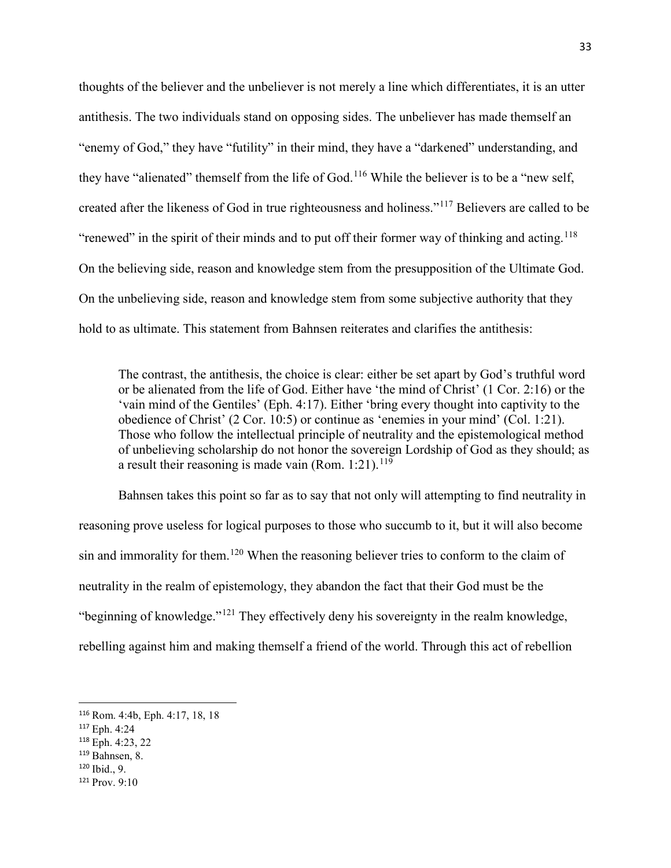thoughts of the believer and the unbeliever is not merely a line which differentiates, it is an utter antithesis. The two individuals stand on opposing sides. The unbeliever has made themself an "enemy of God," they have "futility" in their mind, they have a "darkened" understanding, and they have "alienated" themself from the life of God.<sup>[116](#page-39-0)</sup> While the believer is to be a "new self, created after the likeness of God in true righteousness and holiness."[117](#page-39-1) Believers are called to be "renewed" in the spirit of their minds and to put off their former way of thinking and acting.<sup>[118](#page-39-2)</sup> On the believing side, reason and knowledge stem from the presupposition of the Ultimate God. On the unbelieving side, reason and knowledge stem from some subjective authority that they hold to as ultimate. This statement from Bahnsen reiterates and clarifies the antithesis:

The contrast, the antithesis, the choice is clear: either be set apart by God's truthful word or be alienated from the life of God. Either have 'the mind of Christ' (1 Cor. 2:16) or the 'vain mind of the Gentiles' (Eph. 4:17). Either 'bring every thought into captivity to the obedience of Christ' (2 Cor. 10:5) or continue as 'enemies in your mind' (Col. 1:21). Those who follow the intellectual principle of neutrality and the epistemological method of unbelieving scholarship do not honor the sovereign Lordship of God as they should; as a result their reasoning is made vain (Rom.  $1:21$ ).<sup>[119](#page-39-3)</sup>

Bahnsen takes this point so far as to say that not only will attempting to find neutrality in reasoning prove useless for logical purposes to those who succumb to it, but it will also become sin and immorality for them.<sup>[120](#page-39-4)</sup> When the reasoning believer tries to conform to the claim of neutrality in the realm of epistemology, they abandon the fact that their God must be the "beginning of knowledge."[121](#page-39-5) They effectively deny his sovereignty in the realm knowledge, rebelling against him and making themself a friend of the world. Through this act of rebellion

- <span id="page-39-4"></span><sup>120</sup> Ibid., 9.
- <span id="page-39-5"></span><sup>121</sup> Prov. 9:10

<span id="page-39-0"></span> <sup>116</sup> Rom. 4:4b, Eph. 4:17, 18, 18

<span id="page-39-1"></span><sup>117</sup> Eph. 4:24

<span id="page-39-2"></span><sup>118</sup> Eph. 4:23, 22

<span id="page-39-3"></span><sup>119</sup> Bahnsen, 8.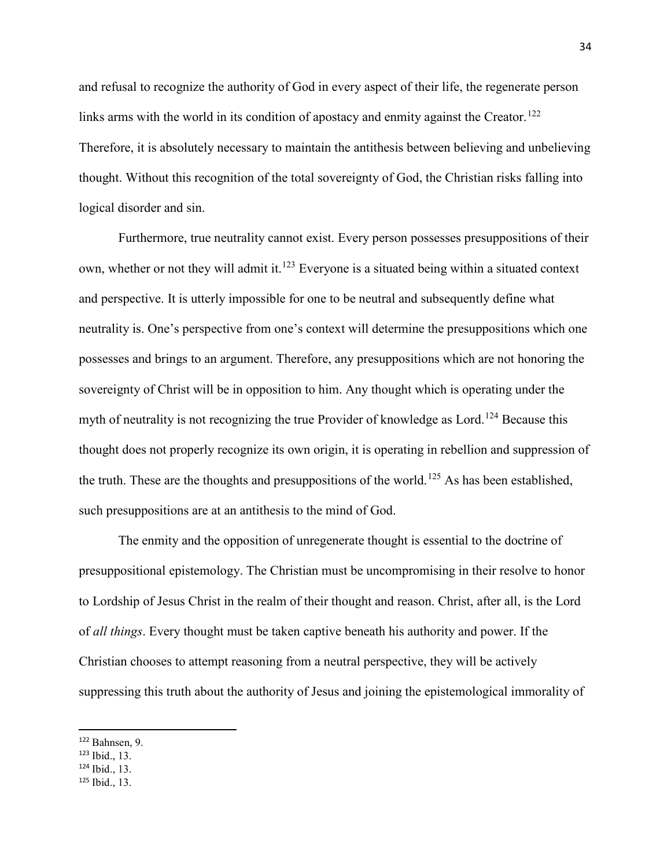and refusal to recognize the authority of God in every aspect of their life, the regenerate person links arms with the world in its condition of apostacy and enmity against the Creator.<sup>[122](#page-40-0)</sup> Therefore, it is absolutely necessary to maintain the antithesis between believing and unbelieving thought. Without this recognition of the total sovereignty of God, the Christian risks falling into logical disorder and sin.

Furthermore, true neutrality cannot exist. Every person possesses presuppositions of their own, whether or not they will admit it.<sup>[123](#page-40-1)</sup> Everyone is a situated being within a situated context and perspective. It is utterly impossible for one to be neutral and subsequently define what neutrality is. One's perspective from one's context will determine the presuppositions which one possesses and brings to an argument. Therefore, any presuppositions which are not honoring the sovereignty of Christ will be in opposition to him. Any thought which is operating under the myth of neutrality is not recognizing the true Provider of knowledge as Lord.<sup>[124](#page-40-2)</sup> Because this thought does not properly recognize its own origin, it is operating in rebellion and suppression of the truth. These are the thoughts and presuppositions of the world.<sup>[125](#page-40-3)</sup> As has been established, such presuppositions are at an antithesis to the mind of God.

The enmity and the opposition of unregenerate thought is essential to the doctrine of presuppositional epistemology. The Christian must be uncompromising in their resolve to honor to Lordship of Jesus Christ in the realm of their thought and reason. Christ, after all, is the Lord of *all things*. Every thought must be taken captive beneath his authority and power. If the Christian chooses to attempt reasoning from a neutral perspective, they will be actively suppressing this truth about the authority of Jesus and joining the epistemological immorality of

<span id="page-40-0"></span> <sup>122</sup> Bahnsen, 9.

<span id="page-40-1"></span><sup>123</sup> Ibid., 13.

<span id="page-40-2"></span><sup>124</sup> Ibid., 13.

<span id="page-40-3"></span><sup>125</sup> Ibid., 13.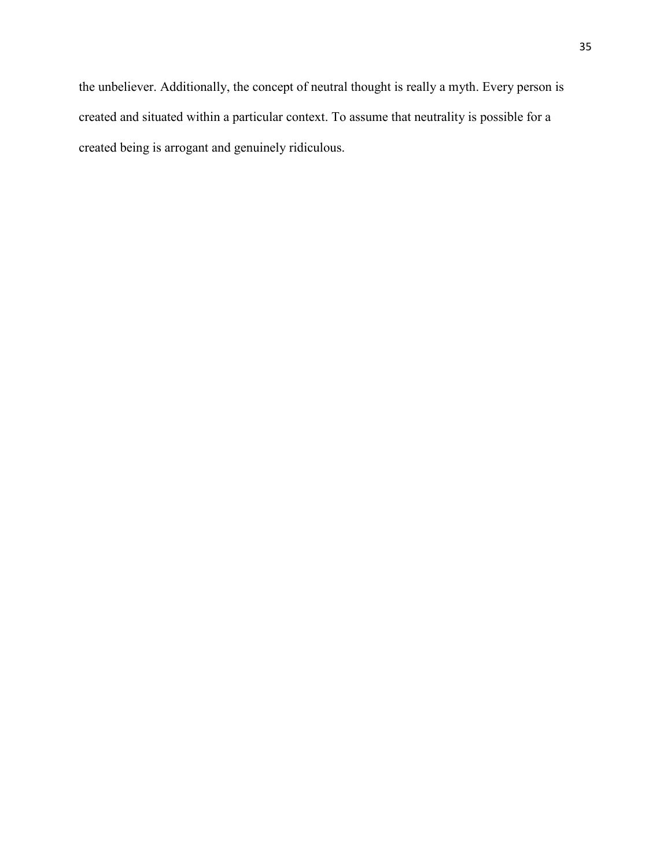the unbeliever. Additionally, the concept of neutral thought is really a myth. Every person is created and situated within a particular context. To assume that neutrality is possible for a created being is arrogant and genuinely ridiculous.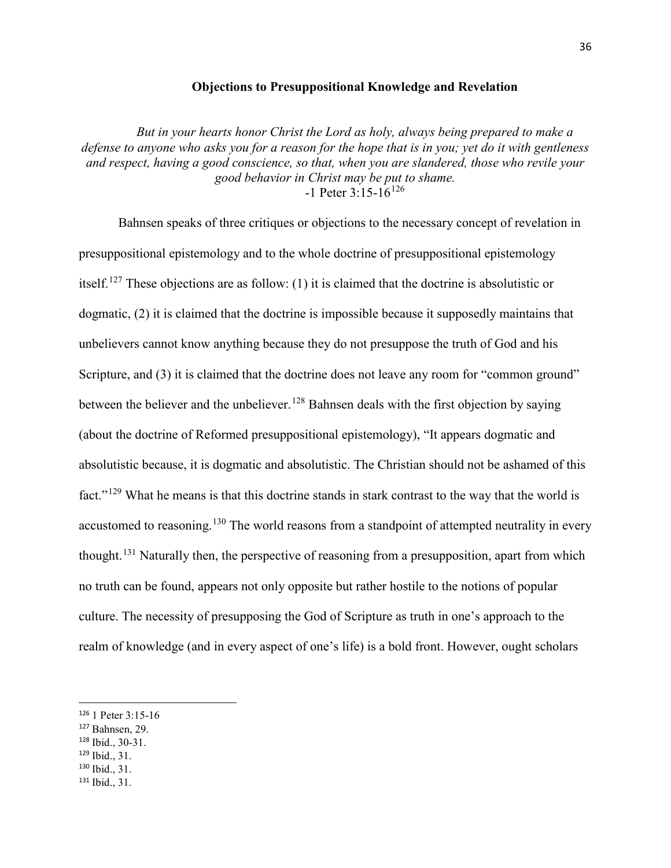## **Objections to Presuppositional Knowledge and Revelation**

*But in your hearts honor Christ the Lord as holy, always being prepared to make a defense to anyone who asks you for a reason for the hope that is in you; yet do it with gentleness and respect, having a good conscience, so that, when you are slandered, those who revile your good behavior in Christ may be put to shame.*  $-1$  Peter 3:15-16<sup>[126](#page-42-0)</sup>

Bahnsen speaks of three critiques or objections to the necessary concept of revelation in presuppositional epistemology and to the whole doctrine of presuppositional epistemology itself.[127](#page-42-1) These objections are as follow: (1) it is claimed that the doctrine is absolutistic or dogmatic, (2) it is claimed that the doctrine is impossible because it supposedly maintains that unbelievers cannot know anything because they do not presuppose the truth of God and his Scripture, and (3) it is claimed that the doctrine does not leave any room for "common ground" between the believer and the unbeliever.<sup>[128](#page-42-2)</sup> Bahnsen deals with the first objection by saying (about the doctrine of Reformed presuppositional epistemology), "It appears dogmatic and absolutistic because, it is dogmatic and absolutistic. The Christian should not be ashamed of this fact."[129](#page-42-3) What he means is that this doctrine stands in stark contrast to the way that the world is accustomed to reasoning.<sup>[130](#page-42-4)</sup> The world reasons from a standpoint of attempted neutrality in every thought.<sup>[131](#page-42-5)</sup> Naturally then, the perspective of reasoning from a presupposition, apart from which no truth can be found, appears not only opposite but rather hostile to the notions of popular culture. The necessity of presupposing the God of Scripture as truth in one's approach to the realm of knowledge (and in every aspect of one's life) is a bold front. However, ought scholars

- <span id="page-42-1"></span><sup>127</sup> Bahnsen, 29.
- <span id="page-42-2"></span><sup>128</sup> Ibid., 30-31.
- <span id="page-42-3"></span><sup>129</sup> Ibid., 31.
- <span id="page-42-4"></span><sup>130</sup> Ibid., 31.
- <span id="page-42-5"></span><sup>131</sup> Ibid., 31.

<span id="page-42-0"></span> <sup>126</sup> 1 Peter 3:15-16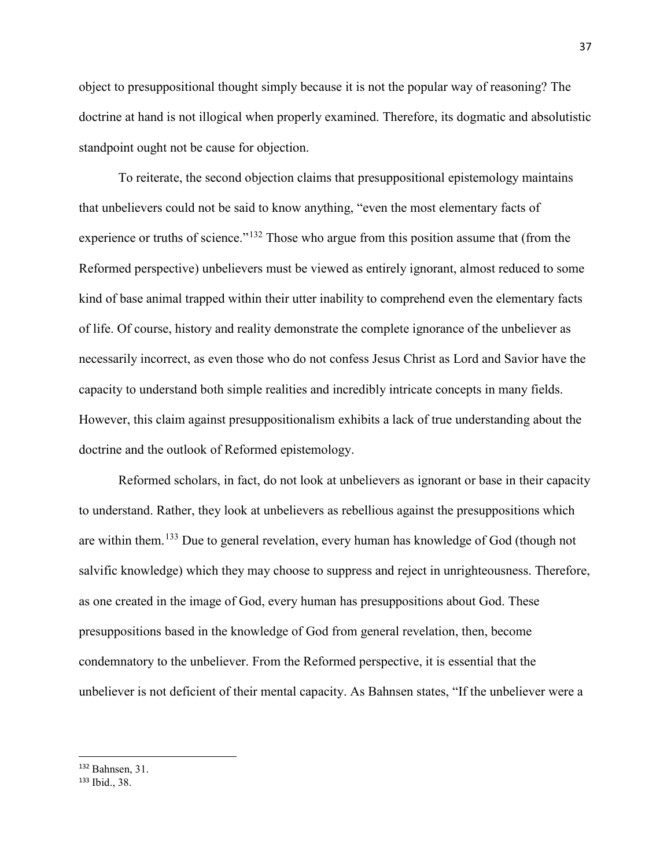object to presuppositional thought simply because it is not the popular way of reasoning? The doctrine at hand is not illogical when properly examined. Therefore, its dogmatic and absolutistic standpoint ought not be cause for objection.

To reiterate, the second objection claims that presuppositional epistemology maintains that unbelievers could not be said to know anything, "even the most elementary facts of experience or truths of science."<sup>[132](#page-43-0)</sup> Those who argue from this position assume that (from the Reformed perspective) unbelievers must be viewed as entirely ignorant, almost reduced to some kind of base animal trapped within their utter inability to comprehend even the elementary facts of life. Of course, history and reality demonstrate the complete ignorance of the unbeliever as necessarily incorrect, as even those who do not confess Jesus Christ as Lord and Savior have the capacity to understand both simple realities and incredibly intricate concepts in many fields. However, this claim against presuppositionalism exhibits a lack of true understanding about the doctrine and the outlook of Reformed epistemology.

Reformed scholars, in fact, do not look at unbelievers as ignorant or base in their capacity to understand. Rather, they look at unbelievers as rebellious against the presuppositions which are within them.[133](#page-43-1) Due to general revelation, every human has knowledge of God (though not salvific knowledge) which they may choose to suppress and reject in unrighteousness. Therefore, as one created in the image of God, every human has presuppositions about God. These presuppositions based in the knowledge of God from general revelation, then, become condemnatory to the unbeliever. From the Reformed perspective, it is essential that the unbeliever is not deficient of their mental capacity. As Bahnsen states, "If the unbeliever were a

<span id="page-43-0"></span> <sup>132</sup> Bahnsen, 31.

<span id="page-43-1"></span><sup>133</sup> Ibid., 38.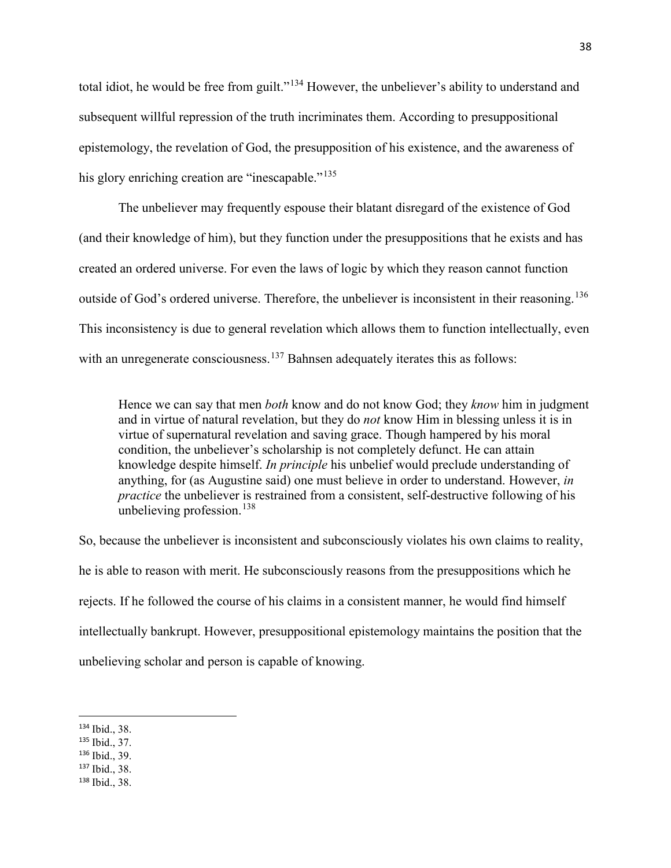total idiot, he would be free from guilt."<sup>[134](#page-44-0)</sup> However, the unbeliever's ability to understand and subsequent willful repression of the truth incriminates them. According to presuppositional epistemology, the revelation of God, the presupposition of his existence, and the awareness of his glory enriching creation are "inescapable."<sup>[135](#page-44-1)</sup>

The unbeliever may frequently espouse their blatant disregard of the existence of God (and their knowledge of him), but they function under the presuppositions that he exists and has created an ordered universe. For even the laws of logic by which they reason cannot function outside of God's ordered universe. Therefore, the unbeliever is inconsistent in their reasoning.<sup>[136](#page-44-2)</sup> This inconsistency is due to general revelation which allows them to function intellectually, even with an unregenerate consciousness.<sup>[137](#page-44-3)</sup> Bahnsen adequately iterates this as follows:

Hence we can say that men *both* know and do not know God; they *know* him in judgment and in virtue of natural revelation, but they do *not* know Him in blessing unless it is in virtue of supernatural revelation and saving grace. Though hampered by his moral condition, the unbeliever's scholarship is not completely defunct. He can attain knowledge despite himself. *In principle* his unbelief would preclude understanding of anything, for (as Augustine said) one must believe in order to understand. However, *in practice* the unbeliever is restrained from a consistent, self-destructive following of his unbelieving profession. $138$ 

So, because the unbeliever is inconsistent and subconsciously violates his own claims to reality, he is able to reason with merit. He subconsciously reasons from the presuppositions which he rejects. If he followed the course of his claims in a consistent manner, he would find himself intellectually bankrupt. However, presuppositional epistemology maintains the position that the unbelieving scholar and person is capable of knowing.

<span id="page-44-2"></span><sup>136</sup> Ibid., 39.

<span id="page-44-4"></span><sup>138</sup> Ibid., 38.

<span id="page-44-0"></span> <sup>134</sup> Ibid., 38.

<span id="page-44-1"></span><sup>135</sup> Ibid., 37.

<span id="page-44-3"></span><sup>137</sup> Ibid., 38.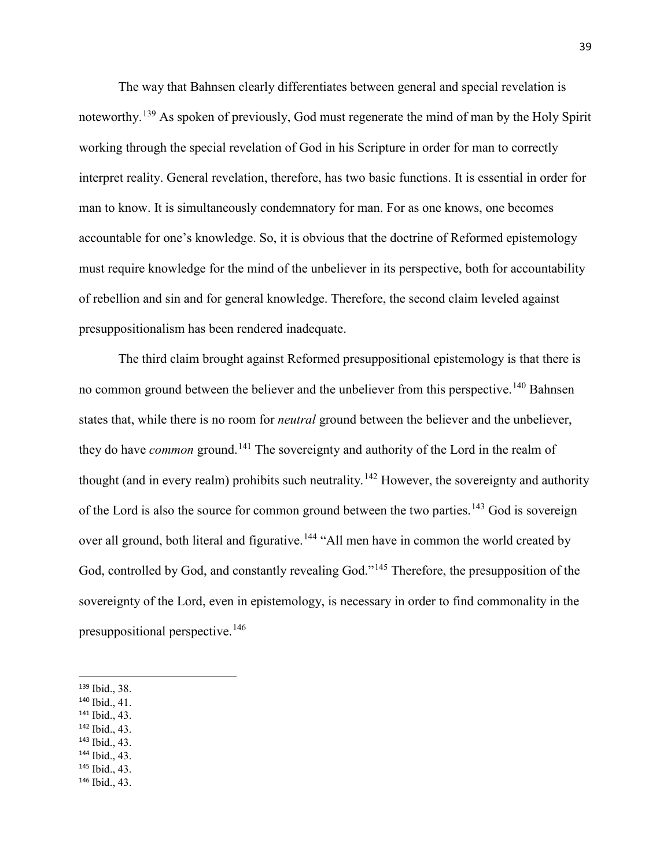The way that Bahnsen clearly differentiates between general and special revelation is noteworthy. [139](#page-45-0) As spoken of previously, God must regenerate the mind of man by the Holy Spirit working through the special revelation of God in his Scripture in order for man to correctly interpret reality. General revelation, therefore, has two basic functions. It is essential in order for man to know. It is simultaneously condemnatory for man. For as one knows, one becomes accountable for one's knowledge. So, it is obvious that the doctrine of Reformed epistemology must require knowledge for the mind of the unbeliever in its perspective, both for accountability of rebellion and sin and for general knowledge. Therefore, the second claim leveled against presuppositionalism has been rendered inadequate.

The third claim brought against Reformed presuppositional epistemology is that there is no common ground between the believer and the unbeliever from this perspective.<sup>[140](#page-45-1)</sup> Bahnsen states that, while there is no room for *neutral* ground between the believer and the unbeliever, they do have *common* ground.<sup>[141](#page-45-2)</sup> The sovereignty and authority of the Lord in the realm of thought (and in every realm) prohibits such neutrality.<sup>[142](#page-45-3)</sup> However, the sovereignty and authority of the Lord is also the source for common ground between the two parties.<sup>[143](#page-45-4)</sup> God is sovereign over all ground, both literal and figurative.<sup>[144](#page-45-5)</sup> "All men have in common the world created by God, controlled by God, and constantly revealing God."<sup>[145](#page-45-6)</sup> Therefore, the presupposition of the sovereignty of the Lord, even in epistemology, is necessary in order to find commonality in the presuppositional perspective.[146](#page-45-7)

- <span id="page-45-1"></span><sup>140</sup> Ibid., 41.
- <span id="page-45-2"></span><sup>141</sup> Ibid., 43.
- <span id="page-45-3"></span><sup>142</sup> Ibid., 43.
- <span id="page-45-4"></span><sup>143</sup> Ibid., 43.
- <span id="page-45-5"></span><sup>144</sup> Ibid., 43.
- <span id="page-45-6"></span><sup>145</sup> Ibid., 43.
- <span id="page-45-7"></span><sup>146</sup> Ibid., 43.

<span id="page-45-0"></span> <sup>139</sup> Ibid., 38.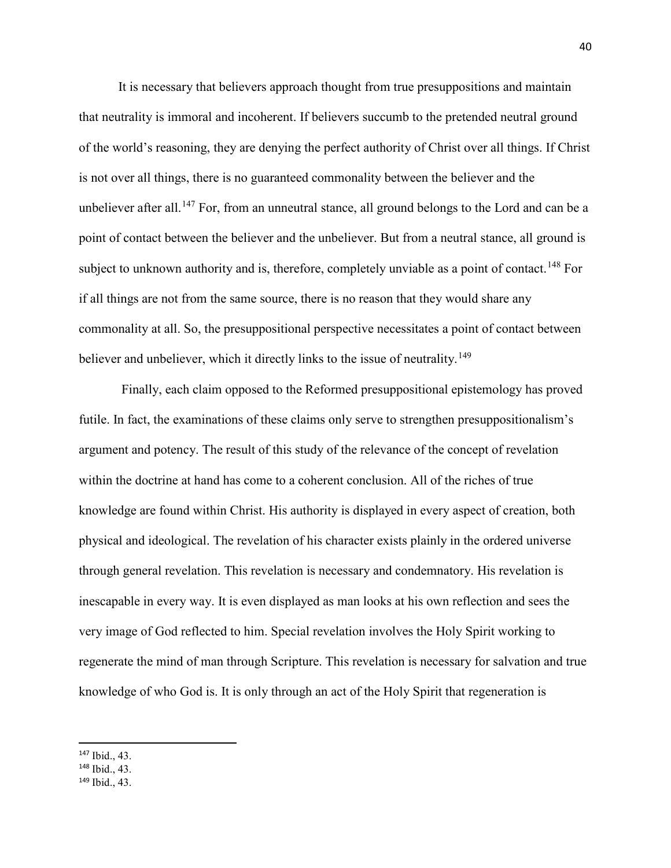It is necessary that believers approach thought from true presuppositions and maintain that neutrality is immoral and incoherent. If believers succumb to the pretended neutral ground of the world's reasoning, they are denying the perfect authority of Christ over all things. If Christ is not over all things, there is no guaranteed commonality between the believer and the unbeliever after all.<sup>[147](#page-46-0)</sup> For, from an unneutral stance, all ground belongs to the Lord and can be a point of contact between the believer and the unbeliever. But from a neutral stance, all ground is subject to unknown authority and is, therefore, completely unviable as a point of contact.<sup>[148](#page-46-1)</sup> For if all things are not from the same source, there is no reason that they would share any commonality at all. So, the presuppositional perspective necessitates a point of contact between believer and unbeliever, which it directly links to the issue of neutrality.<sup>[149](#page-46-2)</sup>

Finally, each claim opposed to the Reformed presuppositional epistemology has proved futile. In fact, the examinations of these claims only serve to strengthen presuppositionalism's argument and potency. The result of this study of the relevance of the concept of revelation within the doctrine at hand has come to a coherent conclusion. All of the riches of true knowledge are found within Christ. His authority is displayed in every aspect of creation, both physical and ideological. The revelation of his character exists plainly in the ordered universe through general revelation. This revelation is necessary and condemnatory. His revelation is inescapable in every way. It is even displayed as man looks at his own reflection and sees the very image of God reflected to him. Special revelation involves the Holy Spirit working to regenerate the mind of man through Scripture. This revelation is necessary for salvation and true knowledge of who God is. It is only through an act of the Holy Spirit that regeneration is

<span id="page-46-0"></span> <sup>147</sup> Ibid., 43.

<span id="page-46-1"></span><sup>148</sup> Ibid., 43.

<span id="page-46-2"></span><sup>149</sup> Ibid., 43.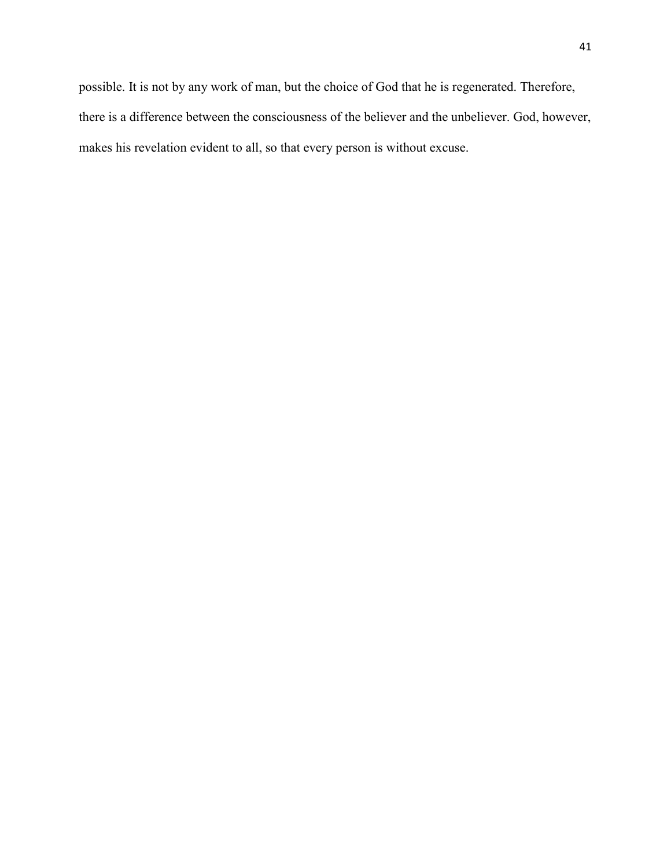possible. It is not by any work of man, but the choice of God that he is regenerated. Therefore, there is a difference between the consciousness of the believer and the unbeliever. God, however, makes his revelation evident to all, so that every person is without excuse.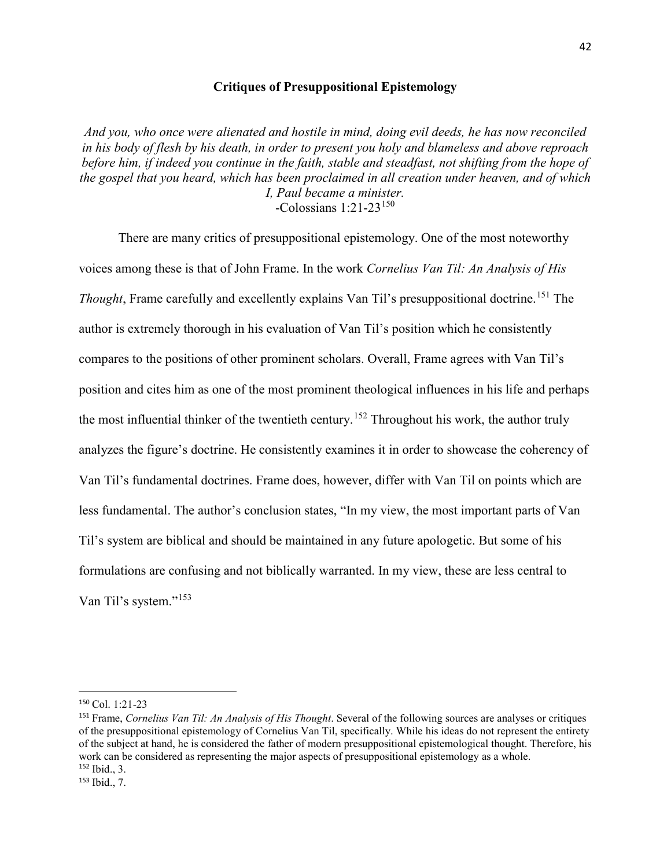# **Critiques of Presuppositional Epistemology**

*And you, who once were alienated and hostile in mind, doing evil deeds, he has now reconciled in his body of flesh by his death, in order to present you holy and blameless and above reproach before him, if indeed you continue in the faith, stable and steadfast, not shifting from the hope of the gospel that you heard, which has been proclaimed in all creation under heaven, and of which I, Paul became a minister.* -Colossians 1:21-23[150](#page-48-0)

There are many critics of presuppositional epistemology. One of the most noteworthy voices among these is that of John Frame. In the work *Cornelius Van Til: An Analysis of His Thought*, Frame carefully and excellently explains Van Til's presuppositional doctrine.<sup>[151](#page-48-1)</sup> The author is extremely thorough in his evaluation of Van Til's position which he consistently compares to the positions of other prominent scholars. Overall, Frame agrees with Van Til's position and cites him as one of the most prominent theological influences in his life and perhaps the most influential thinker of the twentieth century.<sup>[152](#page-48-2)</sup> Throughout his work, the author truly analyzes the figure's doctrine. He consistently examines it in order to showcase the coherency of Van Til's fundamental doctrines. Frame does, however, differ with Van Til on points which are less fundamental. The author's conclusion states, "In my view, the most important parts of Van Til's system are biblical and should be maintained in any future apologetic. But some of his formulations are confusing and not biblically warranted. In my view, these are less central to Van Til's system."<sup>[153](#page-48-3)</sup>

<span id="page-48-0"></span> <sup>150</sup> Col. 1:21-23

<span id="page-48-1"></span><sup>151</sup> Frame, *Cornelius Van Til: An Analysis of His Thought*. Several of the following sources are analyses or critiques of the presuppositional epistemology of Cornelius Van Til, specifically. While his ideas do not represent the entirety of the subject at hand, he is considered the father of modern presuppositional epistemological thought. Therefore, his work can be considered as representing the major aspects of presuppositional epistemology as a whole. <sup>152</sup> Ibid., 3.

<span id="page-48-3"></span><span id="page-48-2"></span><sup>153</sup> Ibid., 7.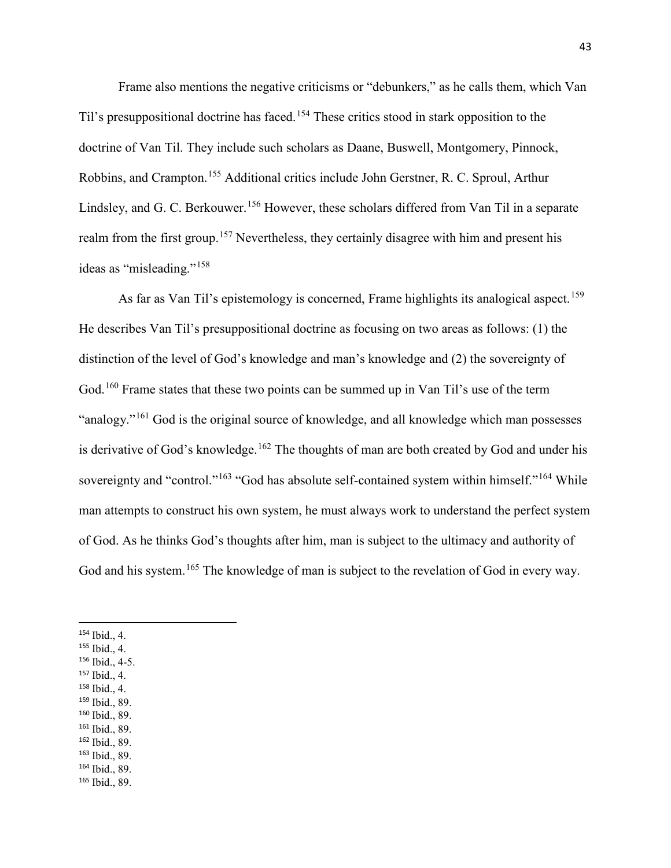Frame also mentions the negative criticisms or "debunkers," as he calls them, which Van Til's presuppositional doctrine has faced.<sup>[154](#page-49-0)</sup> These critics stood in stark opposition to the doctrine of Van Til. They include such scholars as Daane, Buswell, Montgomery, Pinnock, Robbins, and Crampton.[155](#page-49-1) Additional critics include John Gerstner, R. C. Sproul, Arthur Lindsley, and G. C. Berkouwer.<sup>[156](#page-49-2)</sup> However, these scholars differed from Van Til in a separate realm from the first group.<sup>[157](#page-49-3)</sup> Nevertheless, they certainly disagree with him and present his ideas as "misleading."[158](#page-49-4)

As far as Van Til's epistemology is concerned, Frame highlights its analogical aspect.<sup>[159](#page-49-5)</sup> He describes Van Til's presuppositional doctrine as focusing on two areas as follows: (1) the distinction of the level of God's knowledge and man's knowledge and (2) the sovereignty of God.<sup>[160](#page-49-6)</sup> Frame states that these two points can be summed up in Van Til's use of the term "analogy."<sup>[161](#page-49-7)</sup> God is the original source of knowledge, and all knowledge which man possesses is derivative of God's knowledge.<sup>[162](#page-49-8)</sup> The thoughts of man are both created by God and under his sovereignty and "control."<sup>[163](#page-49-9)</sup> "God has absolute self-contained system within himself."<sup>[164](#page-49-10)</sup> While man attempts to construct his own system, he must always work to understand the perfect system of God. As he thinks God's thoughts after him, man is subject to the ultimacy and authority of God and his system.<sup>[165](#page-49-11)</sup> The knowledge of man is subject to the revelation of God in every way.

- <span id="page-49-1"></span><sup>155</sup> Ibid., 4.
- <span id="page-49-2"></span><sup>156</sup> Ibid., 4-5.
- <span id="page-49-3"></span><sup>157</sup> Ibid., 4.
- <span id="page-49-4"></span><sup>158</sup> Ibid., 4.
- <span id="page-49-5"></span><sup>159</sup> Ibid., 89.
- <span id="page-49-6"></span><sup>160</sup> Ibid., 89.
- <span id="page-49-7"></span><sup>161</sup> Ibid., 89.
- <span id="page-49-8"></span><sup>162</sup> Ibid., 89.
- <span id="page-49-9"></span><sup>163</sup> Ibid., 89. <sup>164</sup> Ibid., 89.
- <span id="page-49-11"></span><span id="page-49-10"></span><sup>165</sup> Ibid., 89.

<span id="page-49-0"></span> <sup>154</sup> Ibid., 4.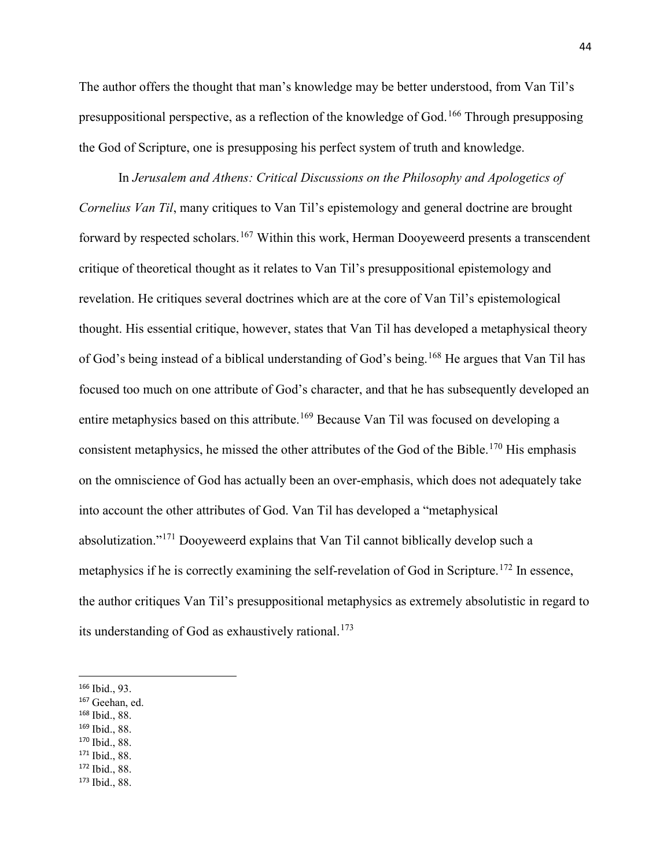The author offers the thought that man's knowledge may be better understood, from Van Til's presuppositional perspective, as a reflection of the knowledge of God.<sup>[166](#page-50-0)</sup> Through presupposing the God of Scripture, one is presupposing his perfect system of truth and knowledge.

In *Jerusalem and Athens: Critical Discussions on the Philosophy and Apologetics of Cornelius Van Til*, many critiques to Van Til's epistemology and general doctrine are brought forward by respected scholars.<sup>[167](#page-50-1)</sup> Within this work, Herman Dooyeweerd presents a transcendent critique of theoretical thought as it relates to Van Til's presuppositional epistemology and revelation. He critiques several doctrines which are at the core of Van Til's epistemological thought. His essential critique, however, states that Van Til has developed a metaphysical theory of God's being instead of a biblical understanding of God's being.[168](#page-50-2) He argues that Van Til has focused too much on one attribute of God's character, and that he has subsequently developed an entire metaphysics based on this attribute.<sup>[169](#page-50-3)</sup> Because Van Til was focused on developing a consistent metaphysics, he missed the other attributes of the God of the Bible.<sup>[170](#page-50-4)</sup> His emphasis on the omniscience of God has actually been an over-emphasis, which does not adequately take into account the other attributes of God. Van Til has developed a "metaphysical absolutization."[171](#page-50-5) Dooyeweerd explains that Van Til cannot biblically develop such a metaphysics if he is correctly examining the self-revelation of God in Scripture.<sup>[172](#page-50-6)</sup> In essence, the author critiques Van Til's presuppositional metaphysics as extremely absolutistic in regard to its understanding of God as exhaustively rational.<sup>[173](#page-50-7)</sup>

- <span id="page-50-2"></span><sup>168</sup> Ibid., 88.
- <span id="page-50-3"></span><sup>169</sup> Ibid., 88.
- <span id="page-50-4"></span><sup>170</sup> Ibid., 88.
- <span id="page-50-5"></span><sup>171</sup> Ibid., 88.
- <span id="page-50-6"></span><sup>172</sup> Ibid., 88.
- <span id="page-50-7"></span><sup>173</sup> Ibid., 88.

<span id="page-50-0"></span> <sup>166</sup> Ibid., 93.

<span id="page-50-1"></span><sup>167</sup> Geehan, ed.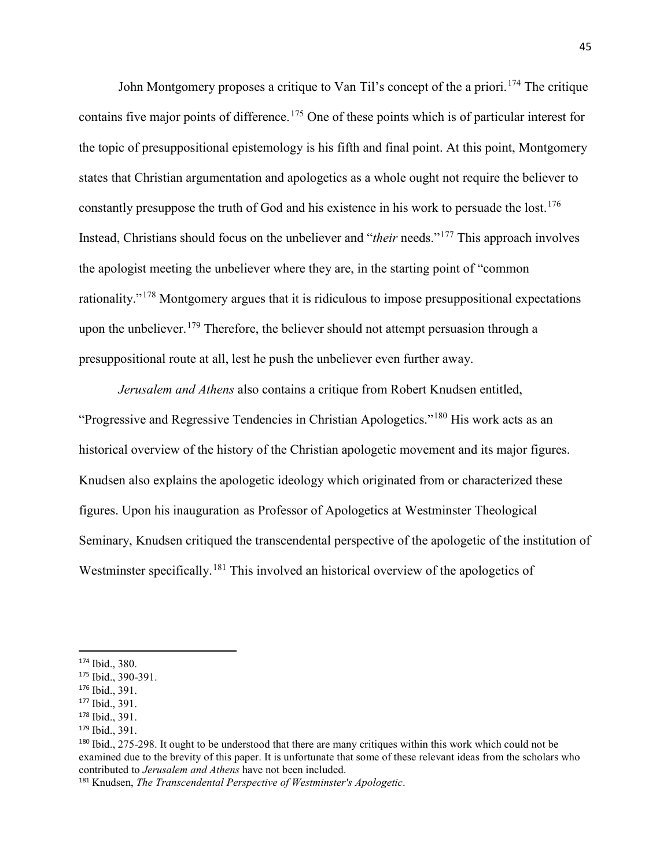John Montgomery proposes a critique to Van Til's concept of the a priori.<sup>[174](#page-51-0)</sup> The critique contains five major points of difference.<sup>[175](#page-51-1)</sup> One of these points which is of particular interest for the topic of presuppositional epistemology is his fifth and final point. At this point, Montgomery states that Christian argumentation and apologetics as a whole ought not require the believer to constantly presuppose the truth of God and his existence in his work to persuade the lost.<sup>[176](#page-51-2)</sup> Instead, Christians should focus on the unbeliever and "*their* needs."[177](#page-51-3) This approach involves the apologist meeting the unbeliever where they are, in the starting point of "common rationality."[178](#page-51-4) Montgomery argues that it is ridiculous to impose presuppositional expectations upon the unbeliever.<sup>[179](#page-51-5)</sup> Therefore, the believer should not attempt persuasion through a presuppositional route at all, lest he push the unbeliever even further away.

*Jerusalem and Athens* also contains a critique from Robert Knudsen entitled, "Progressive and Regressive Tendencies in Christian Apologetics."[180](#page-51-6) His work acts as an historical overview of the history of the Christian apologetic movement and its major figures. Knudsen also explains the apologetic ideology which originated from or characterized these figures. Upon his inauguration as Professor of Apologetics at Westminster Theological Seminary, Knudsen critiqued the transcendental perspective of the apologetic of the institution of Westminster specifically.<sup>[181](#page-51-7)</sup> This involved an historical overview of the apologetics of

<span id="page-51-0"></span> <sup>174</sup> Ibid., 380.

<span id="page-51-1"></span><sup>175</sup> Ibid., 390-391.

<span id="page-51-2"></span><sup>176</sup> Ibid., 391.

<span id="page-51-3"></span><sup>177</sup> Ibid., 391.

<span id="page-51-4"></span><sup>178</sup> Ibid., 391.

<span id="page-51-5"></span><sup>179</sup> Ibid., 391.

<span id="page-51-6"></span><sup>180</sup> Ibid., 275-298. It ought to be understood that there are many critiques within this work which could not be examined due to the brevity of this paper. It is unfortunate that some of these relevant ideas from the scholars who contributed to *Jerusalem and Athens* have not been included.

<span id="page-51-7"></span><sup>181</sup> Knudsen, *The Transcendental Perspective of Westminster's Apologetic*.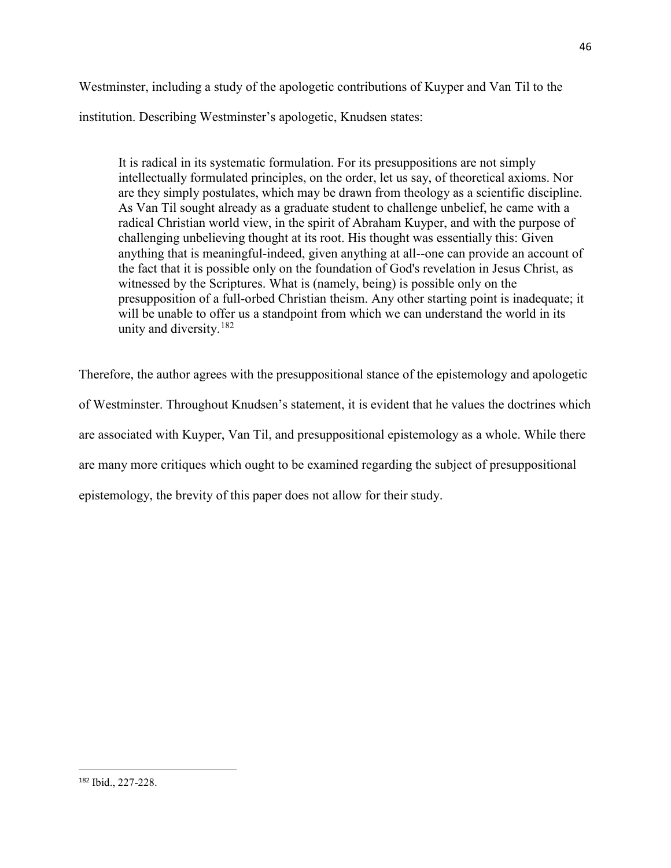Westminster, including a study of the apologetic contributions of Kuyper and Van Til to the institution. Describing Westminster's apologetic, Knudsen states:

It is radical in its systematic formulation. For its presuppositions are not simply intellectually formulated principles, on the order, let us say, of theoretical axioms. Nor are they simply postulates, which may be drawn from theology as a scientific discipline. As Van Til sought already as a graduate student to challenge unbelief, he came with a radical Christian world view, in the spirit of Abraham Kuyper, and with the purpose of challenging unbelieving thought at its root. His thought was essentially this: Given anything that is meaningful-indeed, given anything at all--one can provide an account of the fact that it is possible only on the foundation of God's revelation in Jesus Christ, as witnessed by the Scriptures. What is (namely, being) is possible only on the presupposition of a full-orbed Christian theism. Any other starting point is inadequate; it will be unable to offer us a standpoint from which we can understand the world in its unity and diversity.  $182$ 

Therefore, the author agrees with the presuppositional stance of the epistemology and apologetic of Westminster. Throughout Knudsen's statement, it is evident that he values the doctrines which are associated with Kuyper, Van Til, and presuppositional epistemology as a whole. While there are many more critiques which ought to be examined regarding the subject of presuppositional epistemology, the brevity of this paper does not allow for their study.

<span id="page-52-0"></span> <sup>182</sup> Ibid., 227-228.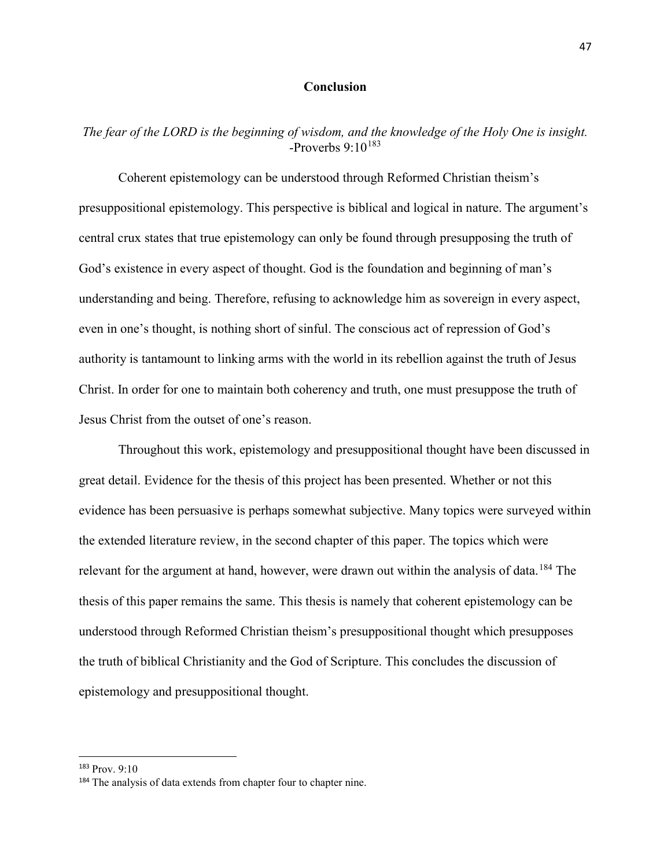# **Conclusion**

# *The fear of the LORD is the beginning of wisdom, and the knowledge of the Holy One is insight.*  $-$ Proverbs 9:10<sup>[183](#page-53-0)</sup>

Coherent epistemology can be understood through Reformed Christian theism's presuppositional epistemology. This perspective is biblical and logical in nature. The argument's central crux states that true epistemology can only be found through presupposing the truth of God's existence in every aspect of thought. God is the foundation and beginning of man's understanding and being. Therefore, refusing to acknowledge him as sovereign in every aspect, even in one's thought, is nothing short of sinful. The conscious act of repression of God's authority is tantamount to linking arms with the world in its rebellion against the truth of Jesus Christ. In order for one to maintain both coherency and truth, one must presuppose the truth of Jesus Christ from the outset of one's reason.

Throughout this work, epistemology and presuppositional thought have been discussed in great detail. Evidence for the thesis of this project has been presented. Whether or not this evidence has been persuasive is perhaps somewhat subjective. Many topics were surveyed within the extended literature review, in the second chapter of this paper. The topics which were relevant for the argument at hand, however, were drawn out within the analysis of data.<sup>[184](#page-53-1)</sup> The thesis of this paper remains the same. This thesis is namely that coherent epistemology can be understood through Reformed Christian theism's presuppositional thought which presupposes the truth of biblical Christianity and the God of Scripture. This concludes the discussion of epistemology and presuppositional thought.

<span id="page-53-0"></span> <sup>183</sup> Prov. 9:10

<span id="page-53-1"></span><sup>&</sup>lt;sup>184</sup> The analysis of data extends from chapter four to chapter nine.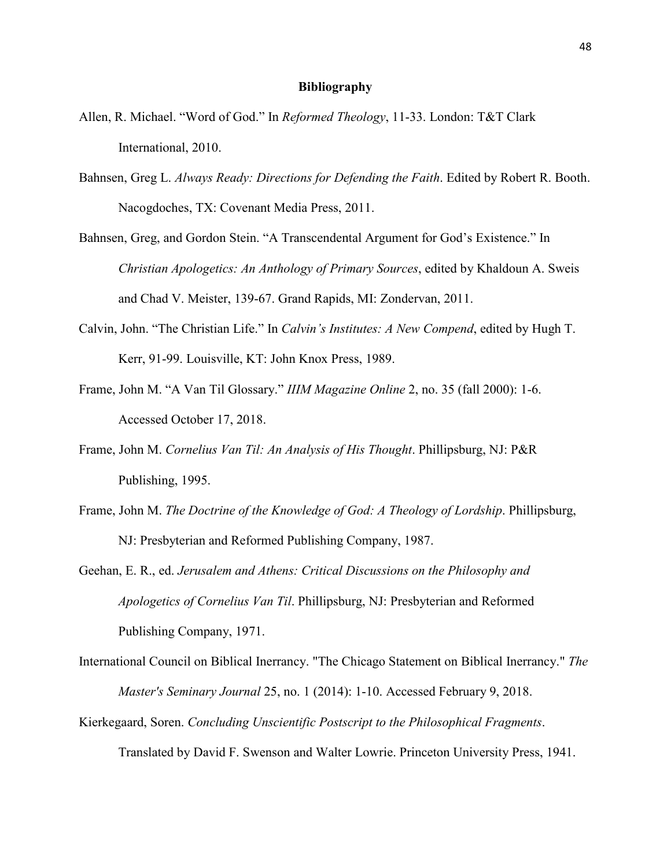## **Bibliography**

- Allen, R. Michael. "Word of God." In *Reformed Theology*, 11-33. London: T&T Clark International, 2010.
- Bahnsen, Greg L. *Always Ready: Directions for Defending the Faith*. Edited by Robert R. Booth. Nacogdoches, TX: Covenant Media Press, 2011.
- Bahnsen, Greg, and Gordon Stein. "A Transcendental Argument for God's Existence." In *Christian Apologetics: An Anthology of Primary Sources*, edited by Khaldoun A. Sweis and Chad V. Meister, 139-67. Grand Rapids, MI: Zondervan, 2011.
- Calvin, John. "The Christian Life." In *Calvin's Institutes: A New Compend*, edited by Hugh T. Kerr, 91-99. Louisville, KT: John Knox Press, 1989.
- Frame, John M. "A Van Til Glossary." *IIIM Magazine Online* 2, no. 35 (fall 2000): 1-6. Accessed October 17, 2018.
- Frame, John M. *Cornelius Van Til: An Analysis of His Thought*. Phillipsburg, NJ: P&R Publishing, 1995.
- Frame, John M. *The Doctrine of the Knowledge of God: A Theology of Lordship*. Phillipsburg, NJ: Presbyterian and Reformed Publishing Company, 1987.
- Geehan, E. R., ed. *Jerusalem and Athens: Critical Discussions on the Philosophy and Apologetics of Cornelius Van Til*. Phillipsburg, NJ: Presbyterian and Reformed Publishing Company, 1971.
- International Council on Biblical Inerrancy. "The Chicago Statement on Biblical Inerrancy." *The Master's Seminary Journal* 25, no. 1 (2014): 1-10. Accessed February 9, 2018.
- Kierkegaard, Soren. *Concluding Unscientific Postscript to the Philosophical Fragments*. Translated by David F. Swenson and Walter Lowrie. Princeton University Press, 1941.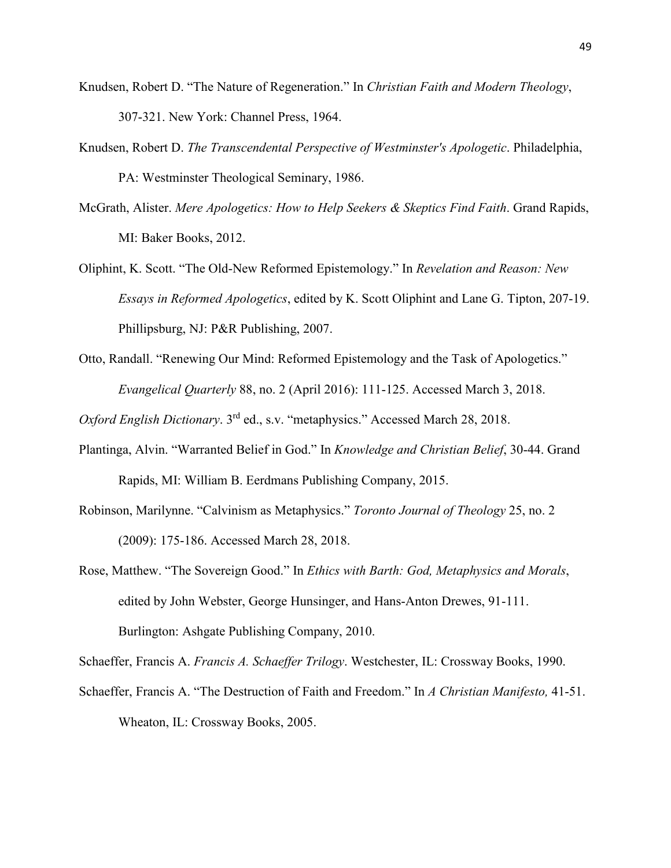- Knudsen, Robert D. "The Nature of Regeneration." In *Christian Faith and Modern Theology*, 307-321. New York: Channel Press, 1964.
- Knudsen, Robert D. *The Transcendental Perspective of Westminster's Apologetic*. Philadelphia, PA: Westminster Theological Seminary, 1986.
- McGrath, Alister. *Mere Apologetics: How to Help Seekers & Skeptics Find Faith*. Grand Rapids, MI: Baker Books, 2012.
- Oliphint, K. Scott. "The Old-New Reformed Epistemology." In *Revelation and Reason: New Essays in Reformed Apologetics*, edited by K. Scott Oliphint and Lane G. Tipton, 207-19. Phillipsburg, NJ: P&R Publishing, 2007.
- Otto, Randall. "Renewing Our Mind: Reformed Epistemology and the Task of Apologetics." *Evangelical Quarterly* 88, no. 2 (April 2016): 111-125. Accessed March 3, 2018.

*Oxford English Dictionary*. 3rd ed., s.v. "metaphysics." Accessed March 28, 2018.

- Plantinga, Alvin. "Warranted Belief in God." In *Knowledge and Christian Belief*, 30-44. Grand Rapids, MI: William B. Eerdmans Publishing Company, 2015.
- Robinson, Marilynne. "Calvinism as Metaphysics." *Toronto Journal of Theology* 25, no. 2 (2009): 175-186. Accessed March 28, 2018.
- Rose, Matthew. "The Sovereign Good." In *Ethics with Barth: God, Metaphysics and Morals*, edited by John Webster, George Hunsinger, and Hans-Anton Drewes, 91-111. Burlington: Ashgate Publishing Company, 2010.

Schaeffer, Francis A. *Francis A. Schaeffer Trilogy*. Westchester, IL: Crossway Books, 1990.

Schaeffer, Francis A. "The Destruction of Faith and Freedom." In *A Christian Manifesto,* 41-51. Wheaton, IL: Crossway Books, 2005.